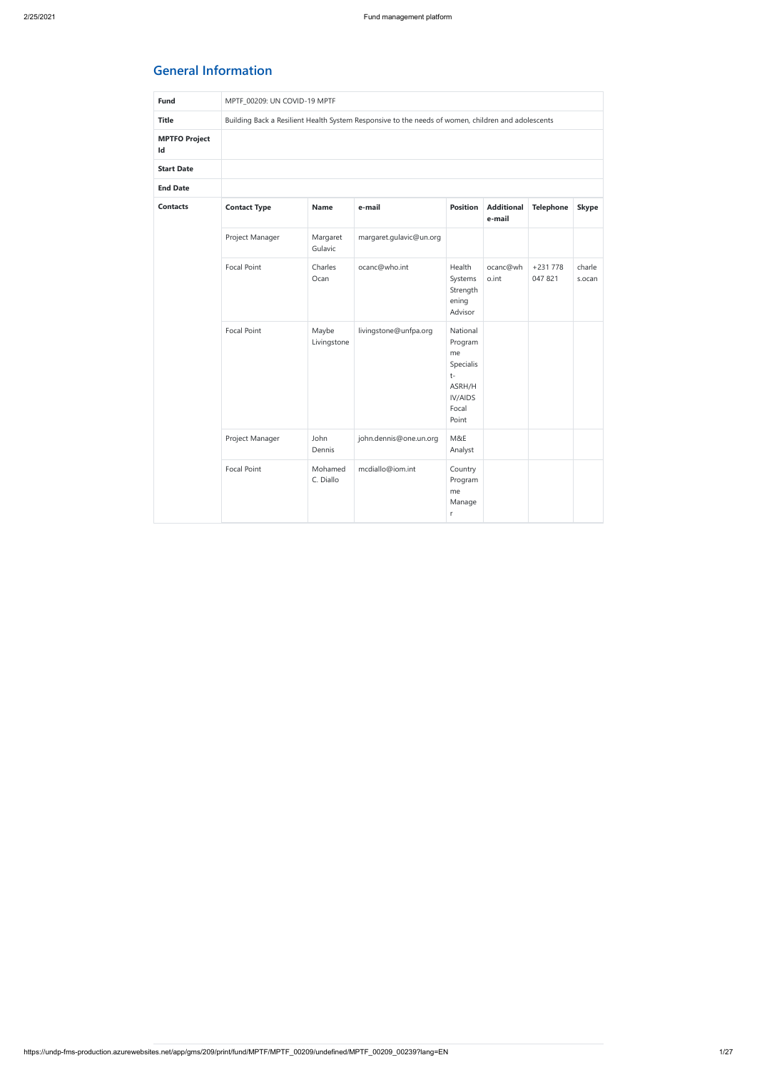# **General Information**

| <b>Fund</b>                | MPTF_00209: UN COVID-19 MPTF |                      |                                                                                                    |                                                                                       |                             |                      |                  |  |  |  |  |  |
|----------------------------|------------------------------|----------------------|----------------------------------------------------------------------------------------------------|---------------------------------------------------------------------------------------|-----------------------------|----------------------|------------------|--|--|--|--|--|
| <b>Title</b>               |                              |                      | Building Back a Resilient Health System Responsive to the needs of women, children and adolescents |                                                                                       |                             |                      |                  |  |  |  |  |  |
| <b>MPTFO Project</b><br>Id |                              |                      |                                                                                                    |                                                                                       |                             |                      |                  |  |  |  |  |  |
| <b>Start Date</b>          |                              |                      |                                                                                                    |                                                                                       |                             |                      |                  |  |  |  |  |  |
| <b>End Date</b>            |                              |                      |                                                                                                    |                                                                                       |                             |                      |                  |  |  |  |  |  |
| <b>Contacts</b>            | <b>Contact Type</b>          | <b>Name</b>          | e-mail                                                                                             | <b>Position</b>                                                                       | <b>Additional</b><br>e-mail | <b>Telephone</b>     | <b>Skype</b>     |  |  |  |  |  |
|                            | Project Manager              | Margaret<br>Gulavic  | margaret.gulavic@un.org                                                                            |                                                                                       |                             |                      |                  |  |  |  |  |  |
|                            | Focal Point                  | Charles<br>Ocan      | ocanc@who.int                                                                                      | Health<br>Systems<br>Strength<br>ening<br>Advisor                                     | ocanc@wh<br>o.int           | $+231778$<br>047 821 | charle<br>s.ocan |  |  |  |  |  |
|                            | <b>Focal Point</b>           | Maybe<br>Livingstone | livingstone@unfpa.org                                                                              | National<br>Program<br>me<br>Specialis<br>$t-$<br>ASRH/H<br>IV/AIDS<br>Focal<br>Point |                             |                      |                  |  |  |  |  |  |
|                            | Project Manager              | John<br>Dennis       | john.dennis@one.un.org                                                                             | M&E<br>Analyst                                                                        |                             |                      |                  |  |  |  |  |  |
|                            | <b>Focal Point</b>           | Mohamed<br>C. Diallo | mcdiallo@iom.int                                                                                   | Country<br>Program<br>me<br>Manage<br>r                                               |                             |                      |                  |  |  |  |  |  |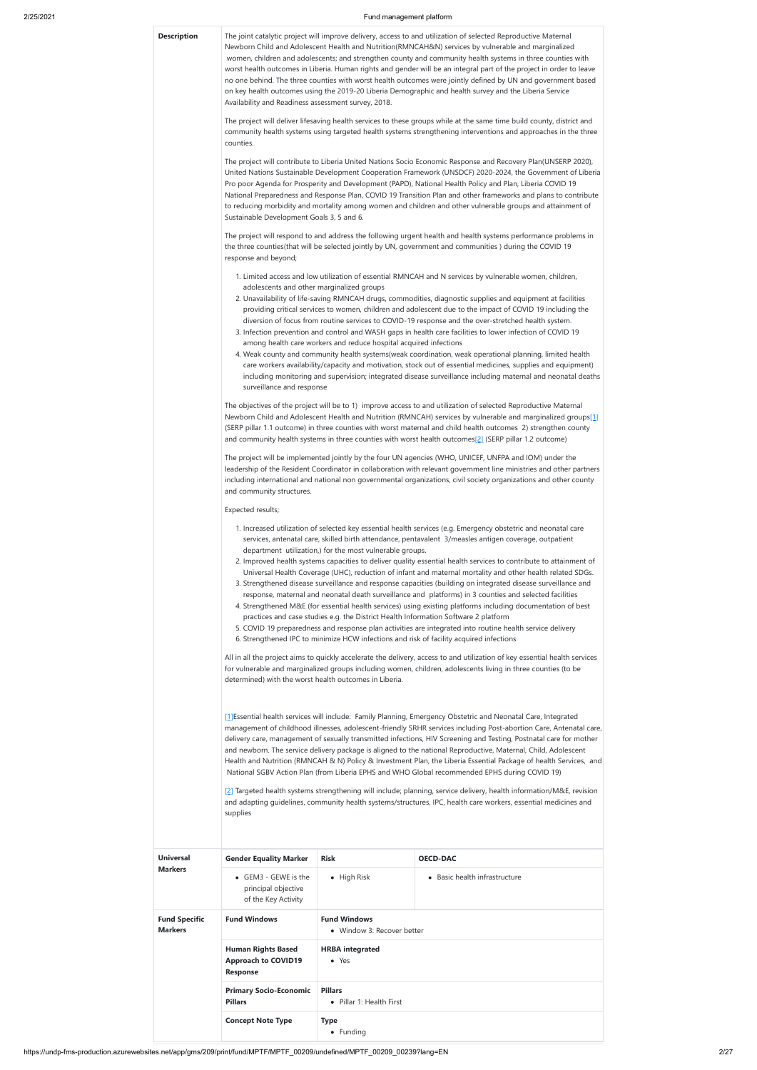https://undp-fms-production.azurewebsites.net/app/gms/209/print/fund/MPTF/MPTF\_00209/undefined/MPTF\_00209\_00239?lang=EN 2/27

**Description** The joint catalytic project will improve delivery, access to and utilization of selected Reproductive Maternal Newborn Child and Adolescent Health and Nutrition(RMNCAH&N) services by vulnerable and marginalized women, children and adolescents; and strengthen county and community health systems in three counties with worst health outcomes in Liberia. Human rights and gender will be an integral part of the project in order to leave no one behind. The three counties with worst health outcomes were jointly defined by UN and government based on key health outcomes using the 2019-20 Liberia Demographic and health survey and the Liberia Service Availability and Readiness assessment survey, 2018.

> The project will deliver lifesaving health services to these groups while at the same time build county, district and community health systems using targeted health systems strengthening interventions and approaches in the three counties.

The project will contribute to Liberia United Nations Socio Economic Response and Recovery Plan(UNSERP 2020), United Nations Sustainable Development Cooperation Framework (UNSDCF) 2020-2024, the Government of Liberia Pro poor Agenda for Prosperity and Development (PAPD), National Health Policy and Plan, Liberia COVID 19 National Preparedness and Response Plan, COVID 19 Transition Plan and other frameworks and plans to contribute to reducing morbidity and mortality among women and children and other vulnerable groups and attainment of Sustainable Development Goals 3, 5 and 6.

The project will respond to and address the following urgent health and health systems performance problems in the three counties(that will be selected jointly by UN, government and communities ) during the COVID 19 response and beyond;

- 1. Limited access and low utilization of essential RMNCAH and N services by vulnerable women, children, adolescents and other marginalized groups
- 2. Unavailability of life-saving RMNCAH drugs, commodities, diagnostic supplies and equipment at facilities providing critical services to women, children and adolescent due to the impact of COVID 19 including the diversion of focus from routine services to COVID-19 response and the over-stretched health system.
- 3. Infection prevention and control and WASH gaps in health care facilities to lower infection of COVID 19 among health care workers and reduce hospital acquired infections
- 4. Weak county and community health systems(weak coordination, weak operational planning, limited health care workers availability/capacity and motivation, stock out of essential medicines, supplies and equipment) including monitoring and supervision; integrated disease surveillance including maternal and neonatal deaths surveillance and response

[1] Essential health services will include: Family Planning, Emergency Obstetric and Neonatal Care, Integrated management of childhood illnesses, adolescent-friendly SRHR services including Post-abortion Care, Antenatal care, delivery care, management of sexually transmitted infections, HIV Screening and Testing, Postnatal care for mother and newborn. The service delivery package is aligned to the national Reproductive, Maternal, Child, Adolescent Health and Nutrition (RMNCAH & N) Policy & Investment Plan, the Liberia Essential Package of health Services, and National SGBV Action Plan (from Liberia EPHS and WHO Global recommended EPHS during COVID 19)

The objectives of the project will be to 1) improve access to and utilization of selected Reproductive Maternal Newborn Child and Adolescent Health and Nutrition (RMNCAH) services by vulnerable and marginalized groups[1] (SERP pillar 1.1 outcome) in three counties with worst maternal and child health outcomes 2) strengthen county and community health systems in three counties with worst health outcomes[2] (SERP pillar 1.2 outcome)

The project will be implemented jointly by the four UN agencies (WHO, UNICEF, UNFPA and IOM) under the leadership of the Resident Coordinator in collaboration with relevant government line ministries and other partners including international and national non governmental organizations, civil society organizations and other county and community structures.

#### Expected results;

- 1. Increased utilization of selected key essential health services (e.g. Emergency obstetric and neonatal care services, antenatal care, skilled birth attendance, pentavalent 3/measles antigen coverage, outpatient department utilization,) for the most vulnerable groups.
- 2. Improved health systems capacities to deliver quality essential health services to contribute to attainment of Universal Health Coverage (UHC), reduction of infant and maternal mortality and other health related SDGs.
- 3. Strengthened disease surveillance and response capacities (building on integrated disease surveillance and response, maternal and neonatal death surveillance and platforms) in 3 counties and selected facilities
- 4. Strengthened M&E (for essential health services) using existing platforms including documentation of best practices and case studies e.g. the District Health Information Software 2 platform
- 5. COVID 19 preparedness and response plan activities are integrated into routine health service delivery
- 6. Strengthened IPC to minimize HCW infections and risk of facility acquired infections

All in all the project aims to quickly accelerate the delivery, access to and utilization of key essential health services for vulnerable and marginalized groups including women, children, adolescents living in three counties (to be determined) with the worst health outcomes in Liberia.

[2] Targeted health systems strengthening will include; planning, service delivery, health information/M&E, revision and adapting guidelines, community health systems/structures, IPC, health care workers, essential medicines and

|                                        | supplies                                                                   |                                                   |                               |  |  |  |  |
|----------------------------------------|----------------------------------------------------------------------------|---------------------------------------------------|-------------------------------|--|--|--|--|
| <b>Universal</b>                       | <b>Gender Equality Marker</b>                                              | <b>Risk</b>                                       | <b>OECD-DAC</b>               |  |  |  |  |
| <b>Markers</b>                         | • GEM3 - GEWE is the<br>principal objective<br>of the Key Activity         | • High Risk                                       | • Basic health infrastructure |  |  |  |  |
| <b>Fund Specific</b><br><b>Markers</b> | <b>Fund Windows</b>                                                        | <b>Fund Windows</b><br>• Window 3: Recover better |                               |  |  |  |  |
|                                        | <b>Human Rights Based</b><br><b>Approach to COVID19</b><br><b>Response</b> | <b>HRBA</b> integrated<br>$\bullet$ Yes           |                               |  |  |  |  |
|                                        | <b>Primary Socio-Economic</b><br><b>Pillars</b>                            |                                                   |                               |  |  |  |  |
|                                        |                                                                            |                                                   |                               |  |  |  |  |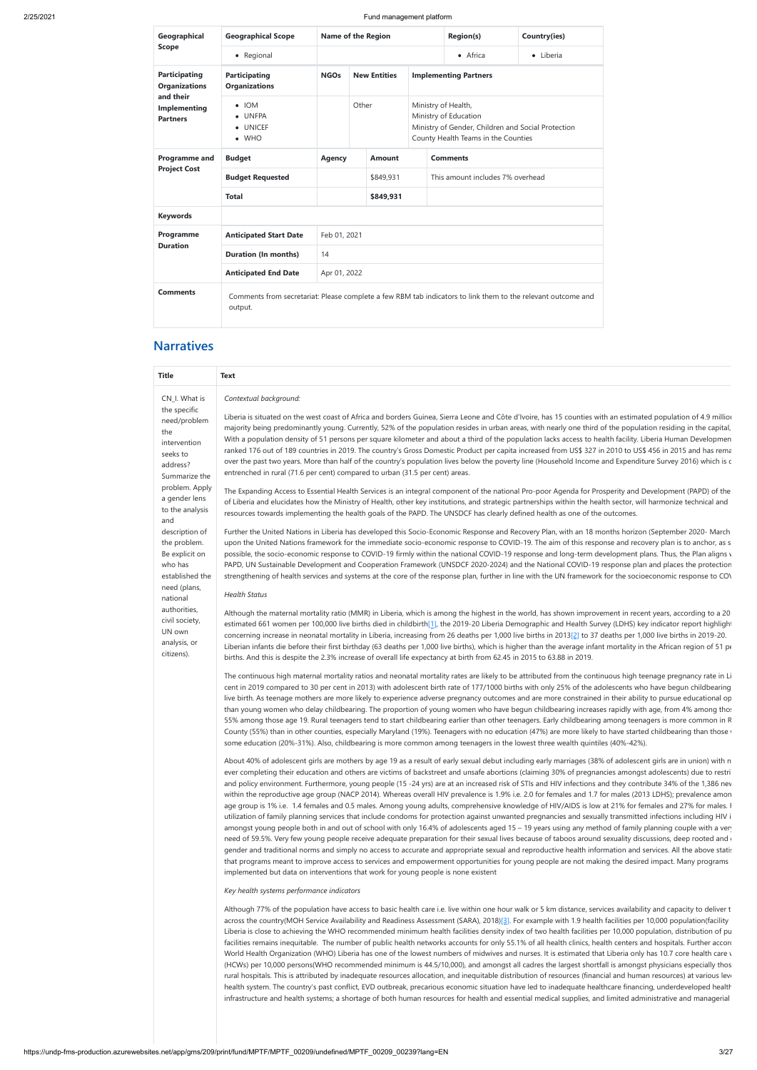| Geographical                                 | <b>Geographical Scope</b>                             | Name of the Region                                                                                           |                     |               |                                                                                                                                           |                                  | <b>Region(s)</b> | Country(ies) |  |
|----------------------------------------------|-------------------------------------------------------|--------------------------------------------------------------------------------------------------------------|---------------------|---------------|-------------------------------------------------------------------------------------------------------------------------------------------|----------------------------------|------------------|--------------|--|
| <b>Scope</b>                                 | • Regional                                            |                                                                                                              |                     |               |                                                                                                                                           |                                  | • Africa         | • Liberia    |  |
| <b>Participating</b><br><b>Organizations</b> | <b>Participating</b><br><b>Organizations</b>          | <b>NGOs</b>                                                                                                  | <b>New Entities</b> |               |                                                                                                                                           | <b>Implementing Partners</b>     |                  |              |  |
| and their<br>Implementing<br><b>Partners</b> | $\bullet$ IOM<br>• UNFPA<br>• UNICEF<br>$\bullet$ WHO | Other                                                                                                        |                     |               | Ministry of Health,<br>Ministry of Education<br>Ministry of Gender, Children and Social Protection<br>County Health Teams in the Counties |                                  |                  |              |  |
| <b>Programme and</b>                         | <b>Budget</b>                                         | <b>Agency</b>                                                                                                |                     | <b>Amount</b> |                                                                                                                                           | <b>Comments</b>                  |                  |              |  |
| <b>Project Cost</b>                          | <b>Budget Requested</b>                               |                                                                                                              | \$849,931           |               |                                                                                                                                           | This amount includes 7% overhead |                  |              |  |
|                                              | <b>Total</b>                                          |                                                                                                              | \$849,931           |               |                                                                                                                                           |                                  |                  |              |  |
| <b>Keywords</b>                              |                                                       |                                                                                                              |                     |               |                                                                                                                                           |                                  |                  |              |  |
| Programme                                    | <b>Anticipated Start Date</b>                         | Feb 01, 2021                                                                                                 |                     |               |                                                                                                                                           |                                  |                  |              |  |
| <b>Duration</b>                              | <b>Duration (In months)</b>                           | 14                                                                                                           |                     |               |                                                                                                                                           |                                  |                  |              |  |
| <b>Anticipated End Date</b><br>Apr 01, 2022  |                                                       |                                                                                                              |                     |               |                                                                                                                                           |                                  |                  |              |  |
| <b>Comments</b>                              | output.                                               | Comments from secretariat: Please complete a few RBM tab indicators to link them to the relevant outcome and |                     |               |                                                                                                                                           |                                  |                  |              |  |

# **Narratives**

| <b>Title</b>                                                                                                                                                                                 | Text                                                                                                                                                                                                                                                                                                                                                                                                                                                                                                                                                                                                                                                                                                                                                                                                                                                                                                                                                                                                                                                                                                                                                                                                                                                                                                                                                                                                                                                                                                                                                         |
|----------------------------------------------------------------------------------------------------------------------------------------------------------------------------------------------|--------------------------------------------------------------------------------------------------------------------------------------------------------------------------------------------------------------------------------------------------------------------------------------------------------------------------------------------------------------------------------------------------------------------------------------------------------------------------------------------------------------------------------------------------------------------------------------------------------------------------------------------------------------------------------------------------------------------------------------------------------------------------------------------------------------------------------------------------------------------------------------------------------------------------------------------------------------------------------------------------------------------------------------------------------------------------------------------------------------------------------------------------------------------------------------------------------------------------------------------------------------------------------------------------------------------------------------------------------------------------------------------------------------------------------------------------------------------------------------------------------------------------------------------------------------|
| CN_I. What is<br>the specific<br>need/problem<br>the<br>intervention<br>seeks to<br>address?<br>Summarize the<br>problem. Apply<br>a gender lens<br>to the analysis<br>and<br>description of | Contextual background:<br>Liberia is situated on the west coast of Africa and borders Guinea, Sierra Leone and Côte d'Ivoire, has 15 counties with an estimated population of 4.9 millior<br>majority being predominantly young. Currently, 52% of the population resides in urban areas, with nearly one third of the population residing in the capital,<br>With a population density of 51 persons per square kilometer and about a third of the population lacks access to health facility. Liberia Human Developmen<br>ranked 176 out of 189 countries in 2019. The country's Gross Domestic Product per capita increased from US\$ 327 in 2010 to US\$ 456 in 2015 and has rema<br>over the past two years. More than half of the country's population lives below the poverty line (Household Income and Expenditure Survey 2016) which is c<br>entrenched in rural (71.6 per cent) compared to urban (31.5 per cent) areas.<br>The Expanding Access to Essential Health Services is an integral component of the national Pro-poor Agenda for Prosperity and Development (PAPD) of the<br>of Liberia and elucidates how the Ministry of Health, other key institutions, and strategic partnerships within the health sector, will harmonize technical and<br>resources towards implementing the health goals of the PAPD. The UNSDCF has clearly defined health as one of the outcomes.<br>Further the United Nations in Liberia has developed this Socio-Economic Response and Recovery Plan, with an 18 months horizon (September 2020- March      |
| the problem.<br>Be explicit on<br>who has<br>established the<br>need (plans,<br>national<br>authorities,<br>civil society,<br>UN own<br>analysis, or                                         | upon the United Nations framework for the immediate socio-economic response to COVID-19. The aim of this response and recovery plan is to anchor, as s<br>possible, the socio-economic response to COVID-19 firmly within the national COVID-19 response and long-term development plans. Thus, the Plan aligns v<br>PAPD, UN Sustainable Development and Cooperation Framework (UNSDCF 2020-2024) and the National COVID-19 response plan and places the protection<br>strengthening of health services and systems at the core of the response plan, further in line with the UN framework for the socioeconomic response to COV<br><b>Health Status</b><br>Although the maternal mortality ratio (MMR) in Liberia, which is among the highest in the world, has shown improvement in recent years, according to a 20<br>estimated 661 women per 100,000 live births died in childbirth[1], the 2019-20 Liberia Demographic and Health Survey (LDHS) key indicator report highlight<br>concerning increase in neonatal mortality in Liberia, increasing from 26 deaths per 1,000 live births in 2013 [2] to 37 deaths per 1,000 live births in 2019-20.<br>Liberian infants die before their first birthday (63 deaths per 1,000 live births), which is higher than the average infant mortality in the African region of 51 pe                                                                                                                                                                                                                            |
| citizens).                                                                                                                                                                                   | births. And this is despite the 2.3% increase of overall life expectancy at birth from 62.45 in 2015 to 63.88 in 2019.<br>The continuous high maternal mortality ratios and neonatal mortality rates are likely to be attributed from the continuous high teenage pregnancy rate in Li<br>cent in 2019 compared to 30 per cent in 2013) with adolescent birth rate of 177/1000 births with only 25% of the adolescents who have begun childbearing<br>live birth. As teenage mothers are more likely to experience adverse pregnancy outcomes and are more constrained in their ability to pursue educational op<br>than young women who delay childbearing. The proportion of young women who have begun childbearing increases rapidly with age, from 4% among thos<br>55% among those age 19. Rural teenagers tend to start childbearing earlier than other teenagers. Early childbearing among teenagers is more common in R<br>County (55%) than in other counties, especially Maryland (19%). Teenagers with no education (47%) are more likely to have started childbearing than those v<br>some education (20%-31%). Also, childbearing is more common among teenagers in the lowest three wealth quintiles (40%-42%).<br>About 40% of adolescent girls are mothers by age 19 as a result of early sexual debut including early marriages (38% of adolescent girls are in union) with n<br>ever completing their education and others are victims of backstreet and unsafe abortions (claiming 30% of pregnancies amongst adolescents) due to restri |

age group is 1% i.e. 1.4 females and 0.5 males. Among young adults, comprehensive knowledge of HIV/AIDS is low at 21% for females and 27% for males. F utilization of family planning services that include condoms for protection against unwanted pregnancies and sexually transmitted infections including HIV i amongst young people both in and out of school with only 16.4% of adolescents aged 15 – 19 years using any method of family planning couple with a very need of 59.5%. Very few young people receive adequate preparation for their sexual lives because of taboos around sexuality discussions, deep rooted and c gender and traditional norms and simply no access to accurate and appropriate sexual and reproductive health information and services. All the above statis that programs meant to improve access to services and empowerment opportunities for young people are not making the desired impact. Many programs implemented but data on interventions that work for young people is none existent

and policy environment. Furthermore, young people (15 -24 yrs) are at an increased risk of STIs and HIV infections and they contribute 34% of the 1,386 new within the reproductive age group (NACP 2014). Whereas overall HIV prevalence is 1.9% i.e. 2.0 for females and 1.7 for males (2013 LDHS); prevalence amon

### *Key health systems performance indicators*

Although 77% of the population have access to basic health care i.e. live within one hour walk or 5 km distance, services availability and capacity to deliver t across the country(MOH Service Availability and Readiness Assessment (SARA), 2018)[3]. For example with 1.9 health facilities per 10,000 population(facility Liberia is close to achieving the WHO recommended minimum health facilities density index of two health facilities per 10,000 population, distribution of pu facilities remains inequitable. The number of public health networks accounts for only 55.1% of all health clinics, health centers and hospitals. Further accord World Health Organization (WHO) Liberia has one of the lowest numbers of midwives and nurses. It is estimated that Liberia only has 10.7 core health care v (HCWs) per 10,000 persons(WHO recommended minimum is 44.5/10,000), and amongst all cadres the largest shortfall is amongst physicians especially thos rural hospitals. This is attributed by inadequate resources allocation, and inequitable distribution of resources (financial and human resources) at various leve health system. The country's past conflict, EVD outbreak, precarious economic situation have led to inadequate healthcare financing, underdeveloped health infrastructure and health systems; a shortage of both human resources for health and essential medical supplies, and limited administrative and managerial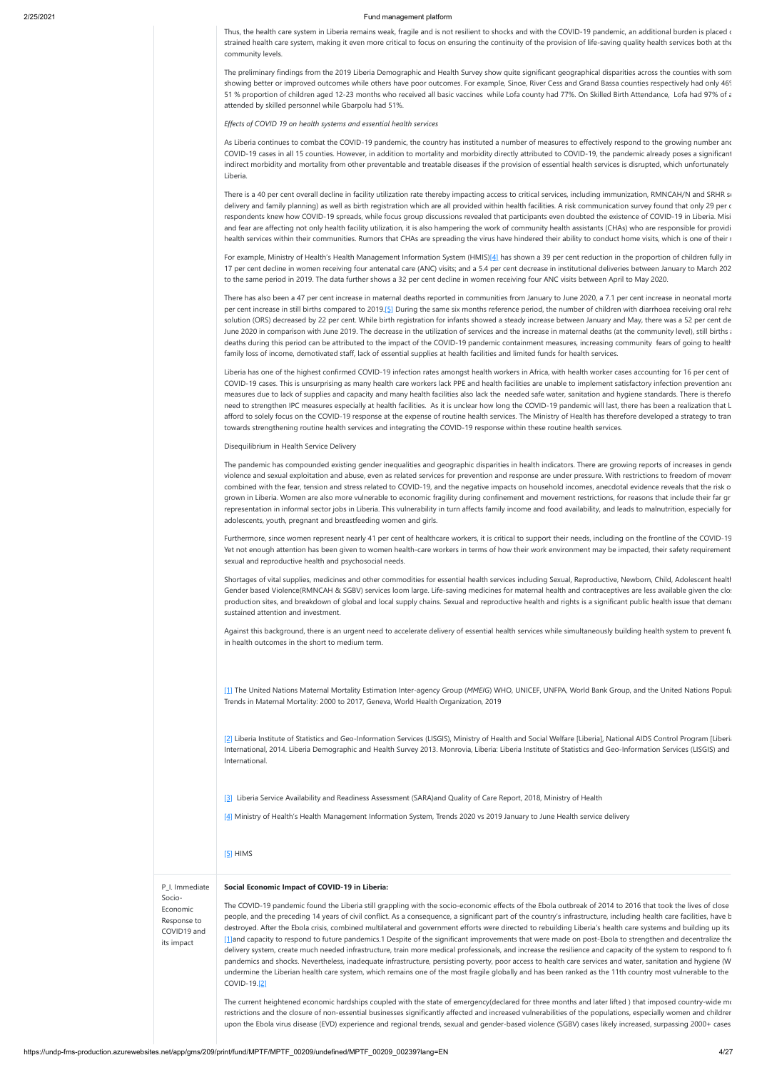Thus, the health care system in Liberia remains weak, fragile and is not resilient to shocks and with the COVID-19 pandemic, an additional burden is placed  $\epsilon$ strained health care system, making it even more critical to focus on ensuring the continuity of the provision of life-saving quality health services both at the community levels.

The preliminary findings from the 2019 Liberia Demographic and Health Survey show quite significant geographical disparities across the counties with som showing better or improved outcomes while others have poor outcomes. For example, Sinoe, River Cess and Grand Bassa counties respectively had only 46% 51 % proportion of children aged 12-23 months who received all basic vaccines while Lofa county had 77%. On Skilled Birth Attendance, Lofa had 97% of a attended by skilled personnel while Gbarpolu had 51%.

As Liberia continues to combat the COVID-19 pandemic, the country has instituted a number of measures to effectively respond to the growing number and COVID-19 cases in all 15 counties. However, in addition to mortality and morbidity directly attributed to COVID-19, the pandemic already poses a significant indirect morbidity and mortality from other preventable and treatable diseases if the provision of essential health services is disrupted, which unfortunately Liberia.

There is a 40 per cent overall decline in facility utilization rate thereby impacting access to critical services, including immunization, RMNCAH/N and SRHR se delivery and family planning) as well as birth registration which are all provided within health facilities. A risk communication survey found that only 29 per c respondents knew how COVID-19 spreads, while focus group discussions revealed that participants even doubted the existence of COVID-19 in Liberia. Misi and fear are affecting not only health facility utilization, it is also hampering the work of community health assistants (CHAs) who are responsible for providi health services within their communities. Rumors that CHAs are spreading the virus have hindered their ability to conduct home visits, which is one of their r

*Effects of COVID 19 on health systems and essential health services*

For example, Ministry of Health's Health Management Information System (HMIS)[4] has shown a 39 per cent reduction in the proportion of children fully in 17 per cent decline in women receiving four antenatal care (ANC) visits; and a 5.4 per cent decrease in institutional deliveries between January to March 202 to the same period in 2019. The data further shows a 32 per cent decline in women receiving four ANC visits between April to May 2020.

There has also been a 47 per cent increase in maternal deaths reported in communities from January to June 2020, a 7.1 per cent increase in neonatal morta per cent increase in still births compared to 2019.[5] During the same six months reference period, the number of children with diarrhoea receiving oral reha solution (ORS) decreased by 22 per cent. While birth registration for infants showed a steady increase between January and May, there was a 52 per cent de June 2020 in comparison with June 2019. The decrease in the utilization of services and the increase in maternal deaths (at the community level), still births at deaths during this period can be attributed to the impact of the COVID-19 pandemic containment measures, increasing community fears of going to health family loss of income, demotivated staff, lack of essential supplies at health facilities and limited funds for health services.

[1] The United Nations Maternal Mortality Estimation Inter-agency Group (MMEIG) WHO, UNICEF, UNFPA, World Bank Group, and the United Nations Popula Trends in Maternal Mortality: 2000 to 2017, Geneva, World Health Organization, 2019

Liberia has one of the highest confirmed COVID-19 infection rates amongst health workers in Africa, with health worker cases accounting for 16 per cent of COVID-19 cases. This is unsurprising as many health care workers lack PPE and health facilities are unable to implement satisfactory infection prevention and measures due to lack of supplies and capacity and many health facilities also lack the needed safe water, sanitation and hygiene standards. There is therefo need to strengthen IPC measures especially at health facilities. As it is unclear how long the COVID-19 pandemic will last, there has been a realization that L afford to solely focus on the COVID-19 response at the expense of routine health services. The Ministry of Health has therefore developed a strategy to tran towards strengthening routine health services and integrating the COVID-19 response within these routine health services.

The current heightened economic hardships coupled with the state of emergency(declared for three months and later lifted) that imposed country-wide mo restrictions and the closure of non-essential businesses significantly affected and increased vulnerabilities of the populations, especially women and children upon the Ebola virus disease (EVD) experience and regional trends, sexual and gender-based violence (SGBV) cases likely increased, surpassing 2000+ cases

#### Disequilibrium in Health Service Delivery

The pandemic has compounded existing gender inequalities and geographic disparities in health indicators. There are growing reports of increases in gende violence and sexual exploitation and abuse, even as related services for prevention and response are under pressure. With restrictions to freedom of movem combined with the fear, tension and stress related to COVID-19, and the negative impacts on household incomes, anecdotal evidence reveals that the risk o grown in Liberia. Women are also more vulnerable to economic fragility during confinement and movement restrictions, for reasons that include their far gr representation in informal sector jobs in Liberia. This vulnerability in turn affects family income and food availability, and leads to malnutrition, especially for adolescents, youth, pregnant and breastfeeding women and girls.

Furthermore, since women represent nearly 41 per cent of healthcare workers, it is critical to support their needs, including on the frontline of the COVID-19 Yet not enough attention has been given to women health-care workers in terms of how their work environment may be impacted, their safety requirement sexual and reproductive health and psychosocial needs.

Shortages of vital supplies, medicines and other commodities for essential health services including Sexual, Reproductive, Newborn, Child, Adolescent health Gender based Violence(RMNCAH & SGBV) services loom large. Life-saving medicines for maternal health and contraceptives are less available given the clos production sites, and breakdown of global and local supply chains. Sexual and reproductive health and rights is a significant public health issue that demand sustained attention and investment.

Against this background, there is an urgent need to accelerate delivery of essential health services while simultaneously building health system to prevent fu in health outcomes in the short to medium term.

[2] Liberia Institute of Statistics and Geo-Information Services (LISGIS), Ministry of Health and Social Welfare [Liberia], National AIDS Control Program [Liberia International, 2014. Liberia Demographic and Health Survey 2013. Monrovia, Liberia: Liberia Institute of Statistics and Geo-Information Services (LISGIS) and International.

[3] Liberia Service Availability and Readiness Assessment (SARA)and Quality of Care Report, 2018, Ministry of Health

[4] Ministry of Health's Health Management Information System, Trends 2020 vs 2019 January to June Health service delivery

### [5] HIMS

Socio-Economic Response to COVID19 and its impact

#### P\_I. Immediate **Social Economic Impact of COVID-19 in Liberia:**

The COVID-19 pandemic found the Liberia still grappling with the socio-economic effects of the Ebola outbreak of 2014 to 2016 that took the lives of close people, and the preceding 14 years of civil conflict. As a consequence, a significant part of the country's infrastructure, including health care facilities, have b destroyed. After the Ebola crisis, combined multilateral and government efforts were directed to rebuilding Liberia's health care systems and building up its [1]and capacity to respond to future pandemics.1 Despite of the significant improvements that were made on post-Ebola to strengthen and decentralize the delivery system, create much needed infrastructure, train more medical professionals, and increase the resilience and capacity of the system to respond to fu pandemics and shocks. Nevertheless, inadequate infrastructure, persisting poverty, poor access to health care services and water, sanitation and hygiene (W undermine the Liberian health care system, which remains one of the most fragile globally and has been ranked as the 11th country most vulnerable to the COVID-19.[2]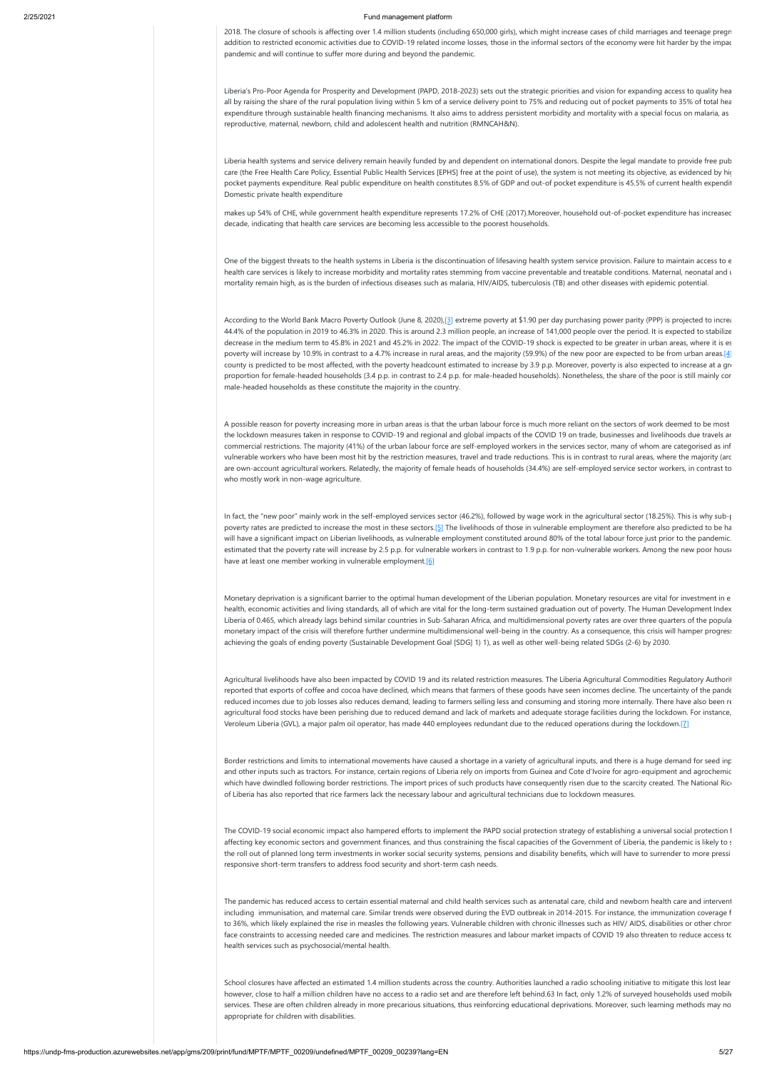2018. The closure of schools is affecting over 1.4 million students (including 650,000 girls), which might increase cases of child marriages and teenage pregn addition to restricted economic activities due to COVID-19 related income losses, those in the informal sectors of the economy were hit harder by the impac pandemic and will continue to suffer more during and beyond the pandemic.

Liberia's Pro-Poor Agenda for Prosperity and Development (PAPD, 2018-2023) sets out the strategic priorities and vision for expanding access to quality hea all by raising the share of the rural population living within 5 km of a service delivery point to 75% and reducing out of pocket payments to 35% of total hea expenditure through sustainable health financing mechanisms. It also aims to address persistent morbidity and mortality with a special focus on malaria, as reproductive, maternal, newborn, child and adolescent health and nutrition (RMNCAH&N).

One of the biggest threats to the health systems in Liberia is the discontinuation of lifesaving health system service provision. Failure to maintain access to  $\epsilon$ health care services is likely to increase morbidity and mortality rates stemming from vaccine preventable and treatable conditions. Maternal, neonatal and u mortality remain high, as is the burden of infectious diseases such as malaria, HIV/AIDS, tuberculosis (TB) and other diseases with epidemic potential.

Liberia health systems and service delivery remain heavily funded by and dependent on international donors. Despite the legal mandate to provide free pub care (the Free Health Care Policy, Essential Public Health Services [EPHS] free at the point of use), the system is not meeting its objective, as evidenced by hic pocket payments expenditure. Real public expenditure on health constitutes 8.5% of GDP and out-of pocket expenditure is 45.5% of current health expendit Domestic private health expenditure

According to the World Bank Macro Poverty Outlook (June 8, 2020), [3] extreme poverty at \$1.90 per day purchasing power parity (PPP) is projected to increation 44.4% of the population in 2019 to 46.3% in 2020. This is around 2.3 million people, an increase of 141,000 people over the period. It is expected to stabilize decrease in the medium term to 45.8% in 2021 and 45.2% in 2022. The impact of the COVID-19 shock is expected to be greater in urban areas, where it is es poverty will increase by 10.9% in contrast to a 4.7% increase in rural areas, and the majority (59.9%) of the new poor are expected to be from urban areas.[4] county is predicted to be most affected, with the poverty headcount estimated to increase by 3.9 p.p. Moreover, poverty is also expected to increase at a gre proportion for female-headed households (3.4 p.p. in contrast to 2.4 p.p. for male-headed households). Nonetheless, the share of the poor is still mainly cor male-headed households as these constitute the majority in the country.

makes up 54% of CHE, while government health expenditure represents 17.2% of CHE (2017).Moreover, household out-of-pocket expenditure has increased decade, indicating that health care services are becoming less accessible to the poorest households.

A possible reason for poverty increasing more in urban areas is that the urban labour force is much more reliant on the sectors of work deemed to be most the lockdown measures taken in response to COVID-19 and regional and global impacts of the COVID 19 on trade, businesses and livelihoods due travels an commercial restrictions. The majority (41%) of the urban labour force are self-employed workers in the services sector, many of whom are categorised as inf vulnerable workers who have been most hit by the restriction measures, travel and trade reductions. This is in contrast to rural areas, where the majority (aro are own-account agricultural workers. Relatedly, the majority of female heads of households (34.4%) are self-employed service sector workers, in contrast to who mostly work in non-wage agriculture.

In fact, the "new poor" mainly work in the self-employed services sector (46.2%), followed by wage work in the agricultural sector (18.25%). This is why sub-r poverty rates are predicted to increase the most in these sectors.[5] The livelihoods of those in vulnerable employment are therefore also predicted to be ha will have a significant impact on Liberian livelihoods, as vulnerable employment constituted around 80% of the total labour force just prior to the pandemic. estimated that the poverty rate will increase by 2.5 p.p. for vulnerable workers in contrast to 1.9 p.p. for non-vulnerable workers. Among the new poor house have at least one member working in vulnerable employment.<sup>[6]</sup>

The COVID-19 social economic impact also hampered efforts to implement the PAPD social protection strategy of establishing a universal social protection f affecting key economic sectors and government finances, and thus constraining the fiscal capacities of the Government of Liberia, the pandemic is likely to s the roll out of planned long term investments in worker social security systems, pensions and disability benefits, which will have to surrender to more pressi responsive short-term transfers to address food security and short-term cash needs.

Monetary deprivation is a significant barrier to the optimal human development of the Liberian population. Monetary resources are vital for investment in e health, economic activities and living standards, all of which are vital for the long-term sustained graduation out of poverty. The Human Development Index Liberia of 0.465, which already lags behind similar countries in Sub-Saharan Africa, and multidimensional poverty rates are over three quarters of the popula monetary impact of the crisis will therefore further undermine multidimensional well-being in the country. As a consequence, this crisis will hamper progress achieving the goals of ending poverty (Sustainable Development Goal [SDG] 1) 1), as well as other well-being related SDGs (2-6) by 2030.

Agricultural livelihoods have also been impacted by COVID 19 and its related restriction measures. The Liberia Agricultural Commodities Regulatory Authorition reported that exports of coffee and cocoa have declined, which means that farmers of these goods have seen incomes decline. The uncertainty of the pande reduced incomes due to job losses also reduces demand, leading to farmers selling less and consuming and storing more internally. There have also been re agricultural food stocks have been perishing due to reduced demand and lack of markets and adequate storage facilities during the lockdown. For instance, Veroleum Liberia (GVL), a major palm oil operator, has made 440 employees redundant due to the reduced operations during the lockdown.[7]

Border restrictions and limits to international movements have caused a shortage in a variety of agricultural inputs, and there is a huge demand for seed inp and other inputs such as tractors. For instance, certain regions of Liberia rely on imports from Guinea and Cote d'Ivoire for agro-equipment and agrochemic which have dwindled following border restrictions. The import prices of such products have consequently risen due to the scarcity created. The National Rice of Liberia has also reported that rice farmers lack the necessary labour and agricultural technicians due to lockdown measures.

The pandemic has reduced access to certain essential maternal and child health services such as antenatal care, child and newborn health care and intervent including immunisation, and maternal care. Similar trends were observed during the EVD outbreak in 2014-2015. For instance, the immunization coverage f to 36%, which likely explained the rise in measles the following years. Vulnerable children with chronic illnesses such as HIV/ AIDS, disabilities or other chron face constraints to accessing needed care and medicines. The restriction measures and labour market impacts of COVID 19 also threaten to reduce access to health services such as psychosocial/mental health.

School closures have affected an estimated 1.4 million students across the country. Authorities launched a radio schooling initiative to mitigate this lost lear however, close to half a million children have no access to a radio set and are therefore left behind.63 In fact, only 1.2% of surveyed households used mobile services. These are often children already in more precarious situations, thus reinforcing educational deprivations. Moreover, such learning methods may no appropriate for children with disabilities.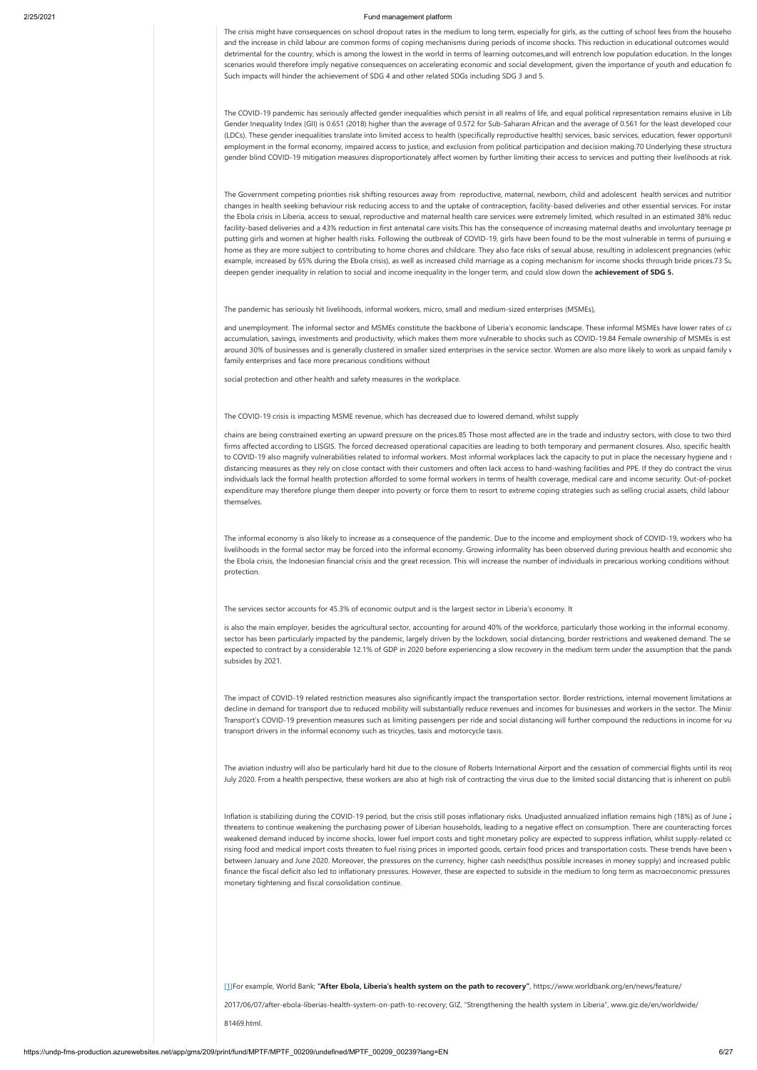The crisis might have consequences on school dropout rates in the medium to long term, especially for girls, as the cutting of school fees from the househo and the increase in child labour are common forms of coping mechanisms during periods of income shocks. This reduction in educational outcomes would detrimental for the country, which is among the lowest in the world in terms of learning outcomes,and will entrench low population education. In the longer scenarios would therefore imply negative consequences on accelerating economic and social development, given the importance of youth and education fo Such impacts will hinder the achievement of SDG 4 and other related SDGs including SDG 3 and 5.

The COVID-19 pandemic has seriously affected gender inequalities which persist in all realms of life, and equal political representation remains elusive in Lib Gender Inequality Index (GII) is 0.651 (2018) higher than the average of 0.572 for Sub-Saharan African and the average of 0.561 for the least developed coun (LDCs). These gender inequalities translate into limited access to health (specifically reproductive health) services, basic services, education, fewer opportunit employment in the formal economy, impaired access to justice, and exclusion from political participation and decision making.70 Underlying these structura gender blind COVID-19 mitigation measures disproportionately affect women by further limiting their access to services and putting their livelihoods at risk.

and unemployment. The informal sector and MSMEs constitute the backbone of Liberia's economic landscape. These informal MSMEs have lower rates of ca accumulation, savings, investments and productivity, which makes them more vulnerable to shocks such as COVID-19.84 Female ownership of MSMEs is est around 30% of businesses and is generally clustered in smaller sized enterprises in the service sector. Women are also more likely to work as unpaid family v family enterprises and face more precarious conditions without

The Government competing priorities risk shifting resources away from reproductive, maternal, newborn, child and adolescent health services and nutrition changes in health seeking behaviour risk reducing access to and the uptake of contraception, facility-based deliveries and other essential services. For instan the Ebola crisis in Liberia, access to sexual, reproductive and maternal health care services were extremely limited, which resulted in an estimated 38% reduc facility-based deliveries and a 43% reduction in first antenatal care visits.This has the consequence of increasing maternal deaths and involuntary teenage pr putting girls and women at higher health risks. Following the outbreak of COVID-19, girls have been found to be the most vulnerable in terms of pursuing e home as they are more subject to contributing to home chores and childcare. They also face risks of sexual abuse, resulting in adolescent pregnancies (whic example, increased by 65% during the Ebola crisis), as well as increased child marriage as a coping mechanism for income shocks through bride prices.73 Su deepen gender inequality in relation to social and income inequality in the longer term, and could slow down the **achievement of SDG 5.**

The pandemic has seriously hit livelihoods, informal workers, micro, small and medium-sized enterprises (MSMEs),

social protection and other health and safety measures in the workplace.

### The COVID-19 crisis is impacting MSME revenue, which has decreased due to lowered demand, whilst supply

chains are being constrained exerting an upward pressure on the prices.85 Those most affected are in the trade and industry sectors, with close to two third firms affected according to LISGIS. The forced decreased operational capacities are leading to both temporary and permanent closures. Also, specific health to COVID-19 also magnify vulnerabilities related to informal workers. Most informal workplaces lack the capacity to put in place the necessary hygiene and s distancing measures as they rely on close contact with their customers and often lack access to hand-washing facilities and PPE. If they do contract the virus individuals lack the formal health protection afforded to some formal workers in terms of health coverage, medical care and income security. Out-of-pocket expenditure may therefore plunge them deeper into poverty or force them to resort to extreme coping strategies such as selling crucial assets, child labour themselves.

The informal economy is also likely to increase as a consequence of the pandemic. Due to the income and employment shock of COVID-19, workers who ha livelihoods in the formal sector may be forced into the informal economy. Growing informality has been observed during previous health and economic sho the Ebola crisis, the Indonesian financial crisis and the great recession. This will increase the number of individuals in precarious working conditions without protection.

The services sector accounts for 45.3% of economic output and is the largest sector in Liberia's economy. It

is also the main employer, besides the agricultural sector, accounting for around 40% of the workforce, particularly those working in the informal economy. sector has been particularly impacted by the pandemic, largely driven by the lockdown, social distancing, border restrictions and weakened demand. The se expected to contract by a considerable 12.1% of GDP in 2020 before experiencing a slow recovery in the medium term under the assumption that the pande subsides by 2021.

The impact of COVID-19 related restriction measures also significantly impact the transportation sector. Border restrictions, internal movement limitations an decline in demand for transport due to reduced mobility will substantially reduce revenues and incomes for businesses and workers in the sector. The Minist Transport's COVID-19 prevention measures such as limiting passengers per ride and social distancing will further compound the reductions in income for vu transport drivers in the informal economy such as tricycles, taxis and motorcycle taxis.

The aviation industry will also be particularly hard hit due to the closure of Roberts International Airport and the cessation of commercial flights until its reop July 2020. From a health perspective, these workers are also at high risk of contracting the virus due to the limited social distancing that is inherent on publi

Inflation is stabilizing during the COVID-19 period, but the crisis still poses inflationary risks. Unadjusted annualized inflation remains high (18%) as of June 2 threatens to continue weakening the purchasing power of Liberian households, leading to a negative effect on consumption. There are counteracting forces weakened demand induced by income shocks, lower fuel import costs and tight monetary policy are expected to suppress inflation, whilst supply-related co rising food and medical import costs threaten to fuel rising prices in imported goods, certain food prices and transportation costs. These trends have been v between January and June 2020. Moreover, the pressures on the currency, higher cash needs(thus possible increases in money supply) and increased public finance the fiscal deficit also led to inflationary pressures. However, these are expected to subside in the medium to long term as macroeconomic pressures monetary tightening and fiscal consolidation continue.

[1]For example, World Bank; **"After Ebola, Liberia's health system on the path to recovery"**, https://www.worldbank.org/en/news/feature/

2017/06/07/after-ebola-liberias-health-system-on-path-to-recovery; GIZ, "Strengthening the health system in Liberia", www.giz.de/en/worldwide/ 81469.html.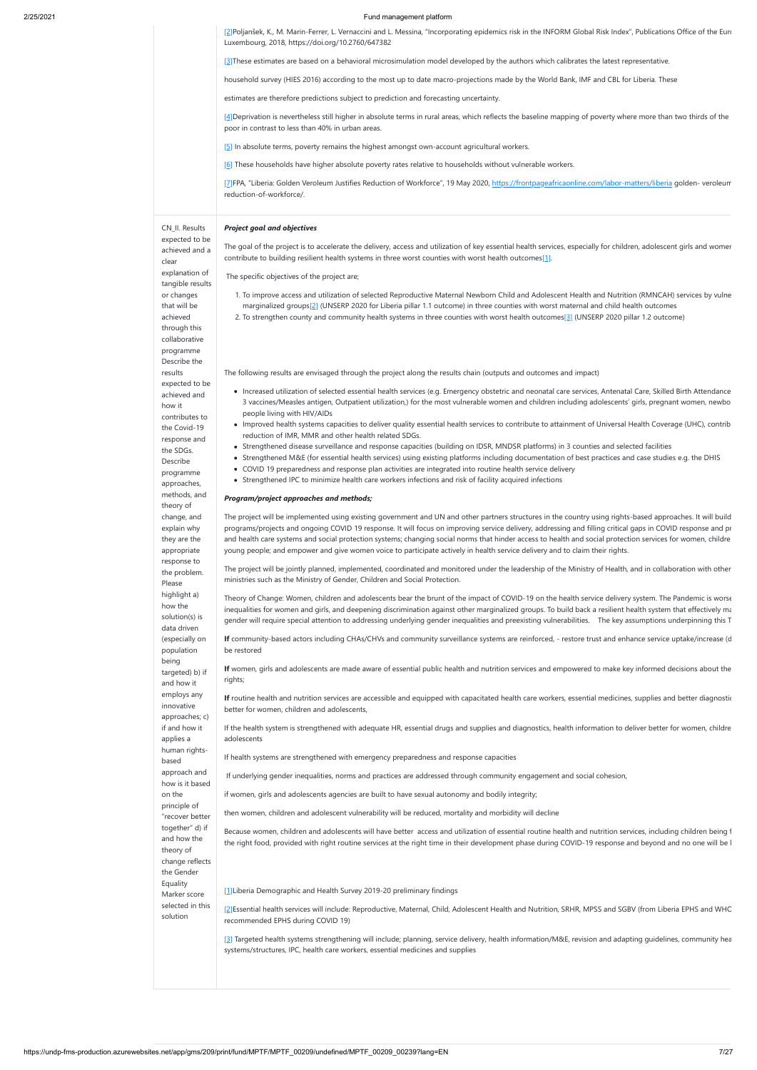| [2] Poljanšek, K., M. Marin-Ferrer, L. Vernaccini and L. Messina, "Incorporating epidemics risk in the INFORM Global Risk Index", Publications Office of the Euro |
|-------------------------------------------------------------------------------------------------------------------------------------------------------------------|
| Luxembourg, 2018, https://doi.org/10.2760/647382                                                                                                                  |

[3]These estimates are based on a behavioral microsimulation model developed by the authors which calibrates the latest representative.

[4] Deprivation is nevertheless still higher in absolute terms in rural areas, which reflects the baseline mapping of poverty where more than two thirds of the poor in contrast to less than 40% in urban areas.

household survey (HIES 2016) according to the most up to date macro-projections made by the World Bank, IMF and CBL for Liberia. These

[7]FPA, "Liberia: Golden Veroleum Justifies Reduction of Workforce", 19 May 2020, <https://frontpageafricaonline.com/labor-matters/liberia>golden- veroleum reduction-of-workforce/.

expected to be achieved and a clear explanation of tangible results or changes that will be achieved through this collaborative programme Describe the results expected to be achieved and how it contributes to the Covid-19 response and the SDGs. Describe programme approaches, methods, and theory of change, and explain why they are the appropriate response to the problem. Please highlight a) how the solution(s) is data driven (especially on population being targeted) b) if and how it employs any innovative approaches; c) if and how it applies a human rightsbased approach and how is it based on the principle of

estimates are therefore predictions subject to prediction and forecasting uncertainty.

[5] In absolute terms, poverty remains the highest amongst own-account agricultural workers.

[6] These households have higher absolute poverty rates relative to households without vulnerable workers.

The goal of the project is to accelerate the delivery, access and utilization of key essential health services, especially for children, adolescent girls and womer contribute to building resilient health systems in three worst counties with worst health outcomes[1].

CN\_II. Results

"recover better together" d) if and how the theory of change reflects the Gender Equality Marker score selected in this solution

### *Project goal and objectives*

The specific objectives of the project are;

- 1. To improve access and utilization of selected Reproductive Maternal Newborn Child and Adolescent Health and Nutrition (RMNCAH) services by vulne marginalized groups[2] (UNSERP 2020 for Liberia pillar 1.1 outcome) in three counties with worst maternal and child health outcomes
- 2. To strengthen county and community health systems in three counties with worst health outcomes[3] (UNSERP 2020 pillar 1.2 outcome)

If routine health and nutrition services are accessible and equipped with capacitated health care workers, essential medicines, supplies and better diagnostic better for women, children and adolescents,

The following results are envisaged through the project along the results chain (outputs and outcomes and impact)

- Increased utilization of selected essential health services (e.g. Emergency obstetric and neonatal care services, Antenatal Care, Skilled Birth Attendance 3 vaccines/Measles antigen, Outpatient utilization,) for the most vulnerable women and children including adolescents' girls, pregnant women, newbo people living with HIV/AIDs
- Improved health systems capacities to deliver quality essential health services to contribute to attainment of Universal Health Coverage (UHC), contrib reduction of IMR, MMR and other health related SDGs.
- Strengthened disease surveillance and response capacities (building on IDSR, MNDSR platforms) in 3 counties and selected facilities
- Strengthened M&E (for essential health services) using existing platforms including documentation of best practices and case studies e.g. the DHIS
- COVID 19 preparedness and response plan activities are integrated into routine health service delivery
	- Strengthened IPC to minimize health care workers infections and risk of facility acquired infections

[3] Targeted health systems strengthening will include; planning, service delivery, health information/M&E, revision and adapting guidelines, community hea systems/structures, IPC, health care workers, essential medicines and supplies

#### *Program/project approaches and methods;*

The project will be implemented using existing government and UN and other partners structures in the country using rights-based approaches. It will build programs/projects and ongoing COVID 19 response. It will focus on improving service delivery, addressing and filling critical gaps in COVID response and pr and health care systems and social protection systems; changing social norms that hinder access to health and social protection services for women, childre young people; and empower and give women voice to participate actively in health service delivery and to claim their rights.

The project will be jointly planned, implemented, coordinated and monitored under the leadership of the Ministry of Health, and in collaboration with other ministries such as the Ministry of Gender, Children and Social Protection.

Theory of Change: Women, children and adolescents bear the brunt of the impact of COVID-19 on the health service delivery system. The Pandemic is worse inequalities for women and girls, and deepening discrimination against other marginalized groups. To build back a resilient health system that effectively ma gender will require special attention to addressing underlying gender inequalities and preexisting vulnerabilities. The key assumptions underpinning this T

**If** community-based actors including CHAs/CHVs and community surveillance systems are reinforced, - restore trust and enhance service uptake/increase (d be restored

**If** women, girls and adolescents are made aware of essential public health and nutrition services and empowered to make key informed decisions about the rights;

If the health system is strengthened with adequate HR, essential drugs and supplies and diagnostics, health information to deliver better for women, childre adolescents

If health systems are strengthened with emergency preparedness and response capacities

If underlying gender inequalities, norms and practices are addressed through community engagement and social cohesion,

if women, girls and adolescents agencies are built to have sexual autonomy and bodily integrity;

then women, children and adolescent vulnerability will be reduced, mortality and morbidity will decline

Because women, children and adolescents will have better access and utilization of essential routine health and nutrition services, including children being f the right food, provided with right routine services at the right time in their development phase during COVID-19 response and beyond and no one will be l

[1]Liberia Demographic and Health Survey 2019-20 preliminary findings

[2]Essential health services will include: Reproductive, Maternal, Child, Adolescent Health and Nutrition, SRHR, MPSS and SGBV (from Liberia EPHS and WHO recommended EPHS during COVID 19)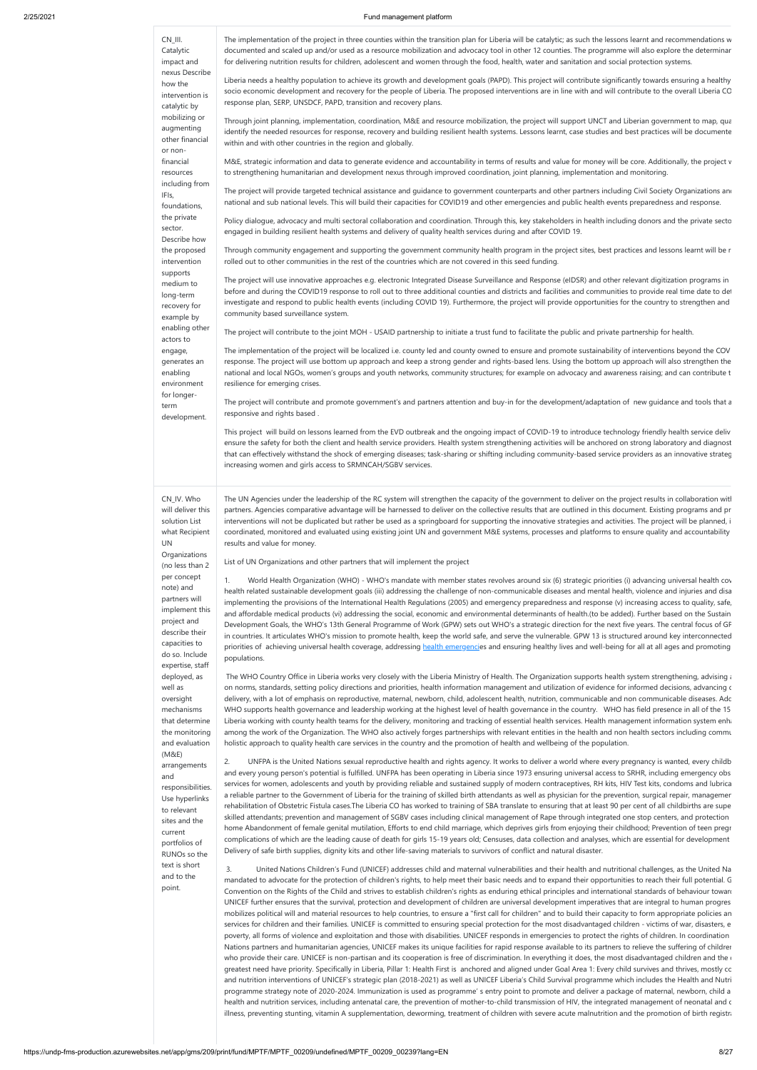| CN_III.<br>Catalytic<br>impact and<br>nexus Describe<br>how the<br>intervention is<br>catalytic by<br>mobilizing or<br>augmenting<br>other financial<br>or non- | The implementation of the project in three counties within the transition plan for Liberia will be catalytic; as such the lessons learnt and recommendations w<br>documented and scaled up and/or used as a resource mobilization and advocacy tool in other 12 counties. The programme will also explore the determinar<br>for delivering nutrition results for children, adolescent and women through the food, health, water and sanitation and social protection systems.<br>Liberia needs a healthy population to achieve its growth and development goals (PAPD). This project will contribute significantly towards ensuring a healthy<br>socio economic development and recovery for the people of Liberia. The proposed interventions are in line with and will contribute to the overall Liberia CC<br>response plan, SERP, UNSDCF, PAPD, transition and recovery plans.<br>Through joint planning, implementation, coordination, M&E and resource mobilization, the project will support UNCT and Liberian government to map, qua<br>identify the needed resources for response, recovery and building resilient health systems. Lessons learnt, case studies and best practices will be documente<br>within and with other countries in the region and globally.         |
|-----------------------------------------------------------------------------------------------------------------------------------------------------------------|--------------------------------------------------------------------------------------------------------------------------------------------------------------------------------------------------------------------------------------------------------------------------------------------------------------------------------------------------------------------------------------------------------------------------------------------------------------------------------------------------------------------------------------------------------------------------------------------------------------------------------------------------------------------------------------------------------------------------------------------------------------------------------------------------------------------------------------------------------------------------------------------------------------------------------------------------------------------------------------------------------------------------------------------------------------------------------------------------------------------------------------------------------------------------------------------------------------------------------------------------------------------------------------|
| financial<br>resources<br>including from                                                                                                                        | M&E, strategic information and data to generate evidence and accountability in terms of results and value for money will be core. Additionally, the project v<br>to strengthening humanitarian and development nexus through improved coordination, joint planning, implementation and monitoring.<br>The project will provide targeted technical assistance and guidance to government counterparts and other partners including Civil Society Organizations and                                                                                                                                                                                                                                                                                                                                                                                                                                                                                                                                                                                                                                                                                                                                                                                                                    |
| IFIs,<br>foundations,<br>the private<br>sector.<br>Describe how                                                                                                 | national and sub national levels. This will build their capacities for COVID19 and other emergencies and public health events preparedness and response.<br>Policy dialogue, advocacy and multi sectoral collaboration and coordination. Through this, key stakeholders in health including donors and the private secto<br>engaged in building resilient health systems and delivery of quality health services during and after COVID 19.                                                                                                                                                                                                                                                                                                                                                                                                                                                                                                                                                                                                                                                                                                                                                                                                                                          |
| the proposed<br>intervention                                                                                                                                    | Through community engagement and supporting the government community health program in the project sites, best practices and lessons learnt will be r<br>rolled out to other communities in the rest of the countries which are not covered in this seed funding.                                                                                                                                                                                                                                                                                                                                                                                                                                                                                                                                                                                                                                                                                                                                                                                                                                                                                                                                                                                                                    |
| supports<br>medium to<br>long-term<br>recovery for<br>example by                                                                                                | The project will use innovative approaches e.g. electronic Integrated Disease Surveillance and Response (eIDSR) and other relevant digitization programs in<br>before and during the COVID19 response to roll out to three additional counties and districts and facilities and communities to provide real time date to det<br>investigate and respond to public health events (including COVID 19). Furthermore, the project will provide opportunities for the country to strengthen and<br>community based surveillance system.                                                                                                                                                                                                                                                                                                                                                                                                                                                                                                                                                                                                                                                                                                                                                  |
| enabling other<br>actors to                                                                                                                                     | The project will contribute to the joint MOH - USAID partnership to initiate a trust fund to facilitate the public and private partnership for health.                                                                                                                                                                                                                                                                                                                                                                                                                                                                                                                                                                                                                                                                                                                                                                                                                                                                                                                                                                                                                                                                                                                               |
| engage,<br>generates an<br>enabling<br>environment<br>for longer-<br>term<br>development.                                                                       | The implementation of the project will be localized i.e. county led and county owned to ensure and promote sustainability of interventions beyond the COV<br>response. The project will use bottom up approach and keep a strong gender and rights-based lens. Using the bottom up approach will also strengthen the<br>national and local NGOs, women's groups and youth networks, community structures; for example on advocacy and awareness raising; and can contribute t<br>resilience for emerging crises.<br>The project will contribute and promote government's and partners attention and buy-in for the development/adaptation of new guidance and tools that a<br>responsive and rights based.<br>This project will build on lessons learned from the EVD outbreak and the ongoing impact of COVID-19 to introduce technology friendly health service deliv<br>ensure the safety for both the client and health service providers. Health system strengthening activities will be anchored on strong laboratory and diagnost<br>that can effectively withstand the shock of emerging diseases; task-sharing or shifting including community-based service providers as an innovative strateg<br>increasing women and girls access to SRMNCAH/SGBV services.              |
| CN_IV. Who<br>will deliver this<br>solution List<br>what Recipient<br>UN<br>Organizations<br>(no less than 2                                                    | The UN Agencies under the leadership of the RC system will strengthen the capacity of the government to deliver on the project results in collaboration witl<br>partners. Agencies comparative advantage will be harnessed to deliver on the collective results that are outlined in this document. Existing programs and pr<br>interventions will not be duplicated but rather be used as a springboard for supporting the innovative strategies and activities. The project will be planned, i<br>coordinated, monitored and evaluated using existing joint UN and government M&E systems, processes and platforms to ensure quality and accountability<br>results and value for money.<br>List of UN Organizations and other partners that will implement the project                                                                                                                                                                                                                                                                                                                                                                                                                                                                                                             |
| per concept<br>note) and<br>partners will<br>implement this<br>project and<br>describe their<br>capacities to<br>do so. Include<br>expertise, staff             | 1.<br>World Health Organization (WHO) - WHO's mandate with member states revolves around six (6) strategic priorities (i) advancing universal health cov<br>health related sustainable development goals (iii) addressing the challenge of non-communicable diseases and mental health, violence and injuries and disa<br>implementing the provisions of the International Health Regulations (2005) and emergency preparedness and response (v) increasing access to quality, safe,<br>and affordable medical products (vi) addressing the social, economic and environmental determinants of health.(to be added). Further based on the Sustain<br>Development Goals, the WHO's 13th General Programme of Work (GPW) sets out WHO's a strategic direction for the next five years. The central focus of GF<br>in countries. It articulates WHO's mission to promote health, keep the world safe, and serve the vulnerable. GPW 13 is structured around key interconnected<br>priorities of achieving universal health coverage, addressing health emergencies and ensuring healthy lives and well-being for all at all ages and promoting<br>populations.                                                                                                                          |
| deployed, as<br>well as<br>oversight<br>mechanisms<br>that determine<br>the monitoring<br>and evaluation<br>(M&E)<br>arrangements                               | The WHO Country Office in Liberia works very closely with the Liberia Ministry of Health. The Organization supports health system strengthening, advising a disting<br>on norms, standards, setting policy directions and priorities, health information management and utilization of evidence for informed decisions, advancing c<br>delivery, with a lot of emphasis on reproductive, maternal, newborn, child, adolescent health, nutrition, communicable and non communicable diseases. Add<br>WHO supports health governance and leadership working at the highest level of health governance in the country. WHO has field presence in all of the 15<br>Liberia working with county health teams for the delivery, monitoring and tracking of essential health services. Health management information system enha<br>among the work of the Organization. The WHO also actively forges partnerships with relevant entities in the health and non health sectors including commu<br>holistic approach to quality health care services in the country and the promotion of health and wellbeing of the population.<br>UNFPA is the United Nations sexual reproductive health and rights agency. It works to deliver a world where every pregnancy is wanted, every childb<br>2. |
|                                                                                                                                                                 | ok notantial is fulfilled. UNERA has been operating in Liberia since 1972 ensuring universal access to CDUD, including emergency                                                                                                                                                                                                                                                                                                                                                                                                                                                                                                                                                                                                                                                                                                                                                                                                                                                                                                                                                                                                                                                                                                                                                     |

al is fulfilled. UNFPA has been operating in Liberia since 1973 ensuring univ services for women, adolescents and youth by providing reliable and sustained supply of modern contraceptives, RH kits, HIV Test kits, condoms and lubrica a reliable partner to the Government of Liberia for the training of skilled birth attendants as well as physician for the prevention, surgical repair, managemen habilitation of Obstetric Fistula cases.The Liberia CO has worked to training of SBA translate to ensuring that at least 90 per cent of all childbirths are s skilled attendants; prevention and management of SGBV cases including clinical management of Rape through integrated one stop centers, and protection home Abandonment of female genital mutilation, Efforts to end child marriage, which deprives girls from enjoying their childhood; Prevention of teen pregr complications of which are the leading cause of death for girls 15-19 years old; Censuses, data collection and analyses, which are essential for development Delivery of safe birth supplies, dignity kits and other life-saving materials to survivors of conflict and natural disaster.

 3. United Nations Children's Fund (UNICEF) addresses child and maternal vulnerabilities and their health and nutritional challenges, as the United Na mandated to advocate for the protection of children's rights, to help meet their basic needs and to expand their opportunities to reach their full potential. G Convention on the Rights of the Child and strives to establish children's rights as enduring ethical principles and international standards of behaviour toward UNICEF further ensures that the survival, protection and development of children are universal development imperatives that are integral to human progres mobilizes political will and material resources to help countries, to ensure a "first call for children" and to build their capacity to form appropriate policies an services for children and their families. UNICEF is committed to ensuring special protection for the most disadvantaged children - victims of war, disasters, e poverty, all forms of violence and exploitation and those with disabilities. UNICEF responds in emergencies to protect the rights of children. In coordination Nations partners and humanitarian agencies, UNICEF makes its unique facilities for rapid response available to its partners to relieve the suffering of childrer who provide their care. UNICEF is non-partisan and its cooperation is free of discrimination. In everything it does, the most disadvantaged children and the  $\epsilon$ greatest need have priority. Specifically in Liberia, Pillar 1: Health First is anchored and aligned under Goal Area 1: Every child survives and thrives, mostly co and nutrition interventions of UNICEF's strategic plan (2018-2021) as well as UNICEF Liberia's Child Survival programme which includes the Health and Nutri programme strategy note of 2020-2024. Immunization is used as programme' s entry point to promote and deliver a package of maternal, newborn, child a health and nutrition services, including antenatal care, the prevention of mother-to-child transmission of HIV, the integrated management of neonatal and c illness, preventing stunting, vitamin A supplementation, deworming, treatment of children with severe acute malnutrition and the promotion of birth registra

mechanisms that determine the monitoring and evaluation (M&E) arrangements and responsibilities. Use hyperlinks to relevant sites and the current portfolios of RUNOs so the text is short and to the point.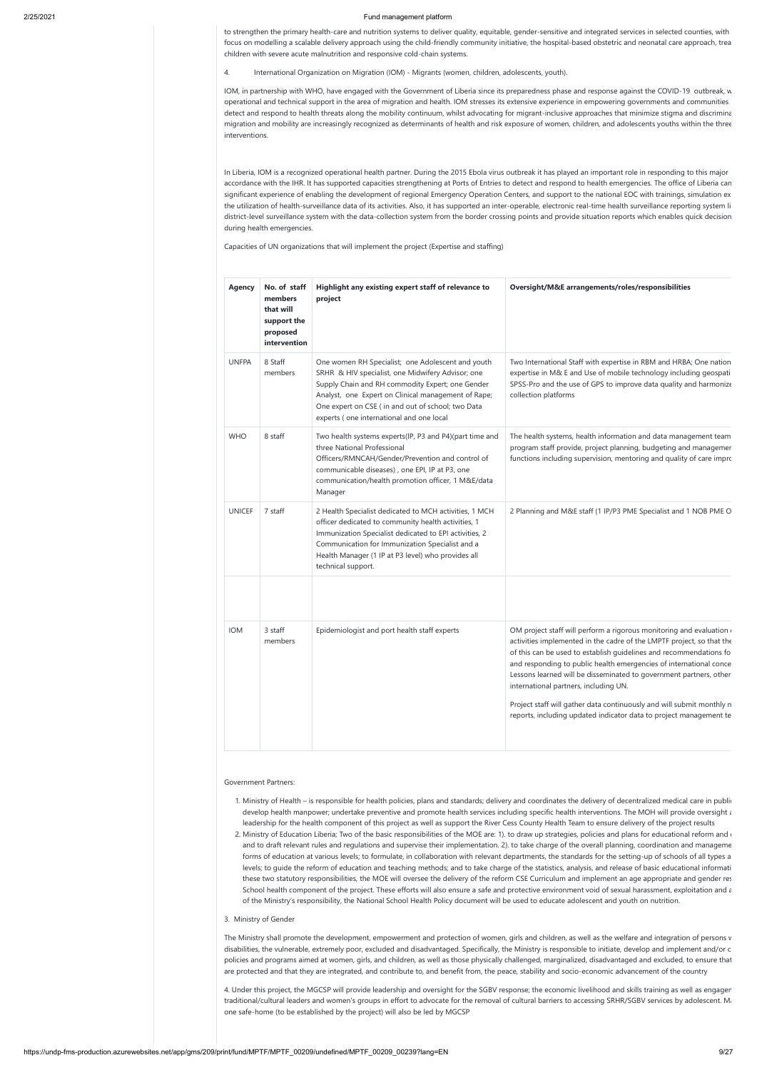to strengthen the primary health-care and nutrition systems to deliver quality, equitable, gender-sensitive and integrated services in selected counties, with focus on modelling a scalable delivery approach using the child-friendly community initiative, the hospital-based obstetric and neonatal care approach, trea children with severe acute malnutrition and responsive cold-chain systems.

4. International Organization on Migration (IOM) - Migrants (women, children, adolescents, youth).

IOM, in partnership with WHO, have engaged with the Government of Liberia since its preparedness phase and response against the COVID-19 outbreak, w operational and technical support in the area of migration and health. IOM stresses its extensive experience in empowering governments and communities detect and respond to health threats along the mobility continuum, whilst advocating for migrant-inclusive approaches that minimize stigma and discrimina migration and mobility are increasingly recognized as determinants of health and risk exposure of women, children, and adolescents youths within the three interventions.

In Liberia, IOM is a recognized operational health partner. During the 2015 Ebola virus outbreak it has played an important role in responding to this major accordance with the IHR. It has supported capacities strengthening at Ports of Entries to detect and respond to health emergencies. The office of Liberia can significant experience of enabling the development of regional Emergency Operation Centers, and support to the national EOC with trainings, simulation ex the utilization of health-surveillance data of its activities. Also, it has supported an inter-operable, electronic real-time health surveillance reporting system li district-level surveillance system with the data-collection system from the border crossing points and provide situation reports which enables quick decision during health emergencies.

Capacities of UN organizations that will implement the project (Expertise and staffing)

develop health manpower; undertake preventive and promote health services including specific health interventions. The MOH will provide oversight and leadership for the health component of this project as well as support the River Cess County Health Team to ensure delivery of the project results 2. Ministry of Education Liberia; Two of the basic responsibilities of the MOE are: 1). to draw up strategies, policies and plans for educational reform and d and to draft relevant rules and regulations and supervise their implementation. 2). to take charge of the overall planning, coordination and manageme forms of education at various levels; to formulate, in collaboration with relevant departments, the standards for the setting-up of schools of all types a levels; to guide the reform of education and teaching methods; and to take charge of the statistics, analysis, and release of basic educational informati these two statutory responsibilities, the MOE will oversee the delivery of the reform CSE Curriculum and implement an age appropriate and gender res School health component of the project. These efforts will also ensure a safe and protective environment void of sexual harassment, exploitation and a of the Ministry's responsibility, the National School Health Policy document will be used to educate adolescent and youth on nutrition.

The Ministry shall promote the development, empowerment and protection of women, girls and children, as well as the welfare and integration of persons v disabilities, the vulnerable, extremely poor, excluded and disadvantaged. Specifically, the Ministry is responsible to initiate, develop and implement and/or c policies and programs aimed at women, girls, and children, as well as those physically challenged, marginalized, disadvantaged and excluded, to ensure that are protected and that they are integrated, and contribute to, and benefit from, the peace, stability and socio-economic advancement of the country

| Agency        | No. of staff<br>members<br>that will<br>support the<br>proposed<br>intervention | Highlight any existing expert staff of relevance to<br>project                                                                                                                                                                                                                                                     | Oversight/M&E arrangements/roles/responsibilities                                                                                                                                                                                                                                                                                                                                                                                                                                                                                                     |
|---------------|---------------------------------------------------------------------------------|--------------------------------------------------------------------------------------------------------------------------------------------------------------------------------------------------------------------------------------------------------------------------------------------------------------------|-------------------------------------------------------------------------------------------------------------------------------------------------------------------------------------------------------------------------------------------------------------------------------------------------------------------------------------------------------------------------------------------------------------------------------------------------------------------------------------------------------------------------------------------------------|
| <b>UNFPA</b>  | 8 Staff<br>members                                                              | One women RH Specialist; one Adolescent and youth<br>SRHR & HIV specialist, one Midwifery Advisor; one<br>Supply Chain and RH commodity Expert; one Gender<br>Analyst, one Expert on Clinical management of Rape;<br>One expert on CSE (in and out of school; two Data<br>experts (one international and one local | Two International Staff with expertise in RBM and HRBA; One nation<br>expertise in M& E and Use of mobile technology including geospati<br>SPSS-Pro and the use of GPS to improve data quality and harmonize<br>collection platforms                                                                                                                                                                                                                                                                                                                  |
| <b>WHO</b>    | 8 staff                                                                         | Two health systems experts(IP, P3 and P4)(part time and<br>three National Professional<br>Officers/RMNCAH/Gender/Prevention and control of<br>communicable diseases), one EPI, IP at P3, one<br>communication/health promotion officer, 1 M&E/data<br>Manager                                                      | The health systems, health information and data management team<br>program staff provide, project planning, budgeting and managemer<br>functions including supervision, mentoring and quality of care impro                                                                                                                                                                                                                                                                                                                                           |
| <b>UNICEF</b> | 7 staff                                                                         | 2 Health Specialist dedicated to MCH activities, 1 MCH<br>officer dedicated to community health activities, 1<br>Immunization Specialist dedicated to EPI activities, 2<br>Communication for Immunization Specialist and a<br>Health Manager (1 IP at P3 level) who provides all<br>technical support.             | 2 Planning and M&E staff (1 IP/P3 PME Specialist and 1 NOB PME O                                                                                                                                                                                                                                                                                                                                                                                                                                                                                      |
| <b>IOM</b>    | 3 staff<br>members                                                              | Epidemiologist and port health staff experts                                                                                                                                                                                                                                                                       | OM project staff will perform a rigorous monitoring and evaluation<br>activities implemented in the cadre of the LMPTF project, so that the<br>of this can be used to establish guidelines and recommendations fo<br>and responding to public health emergencies of international conce<br>Lessons learned will be disseminated to government partners, other<br>international partners, including UN.<br>Project staff will gather data continuously and will submit monthly n<br>reports, including updated indicator data to project management te |

#### Government Partners:

1. Ministry of Health – is responsible for health policies, plans and standards; delivery and coordinates the delivery of decentralized medical care in public

### 3. Ministry of Gender

4. Under this project, the MGCSP will provide leadership and oversight for the SGBV response; the economic livelihood and skills training as well as engagem traditional/cultural leaders and women's groups in effort to advocate for the removal of cultural barriers to accessing SRHR/SGBV services by adolescent. Ma one safe-home (to be established by the project) will also be led by MGCSP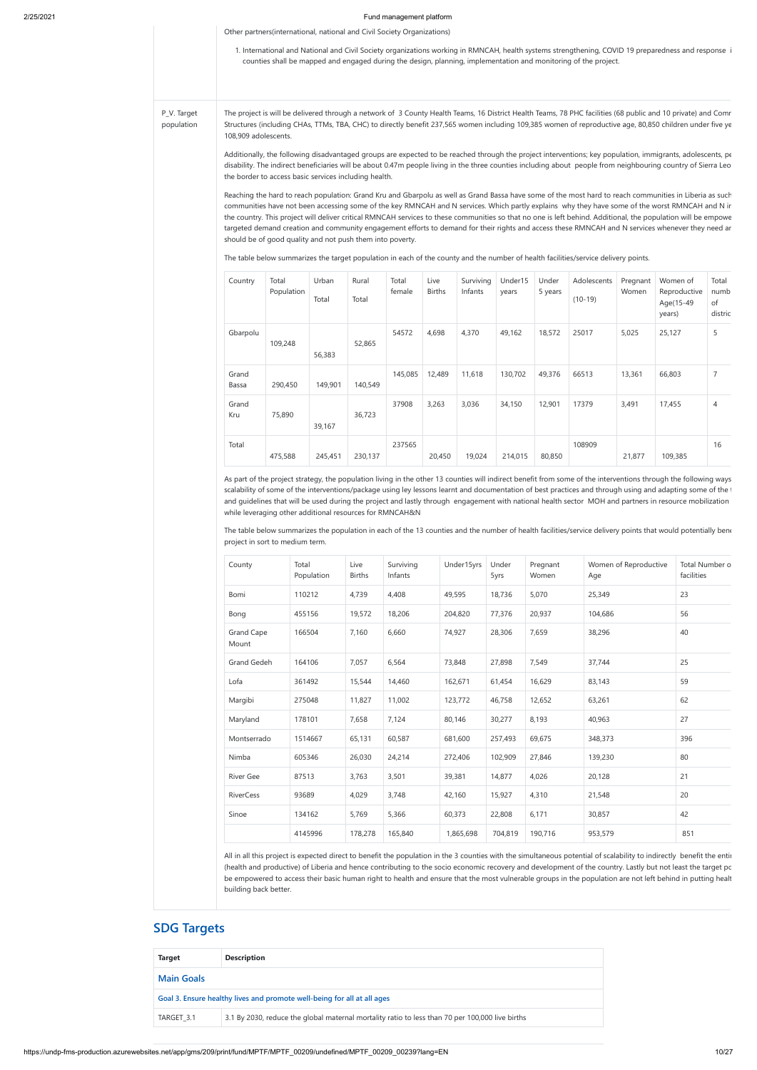Other partners(international, national and Civil Society Organizations)

1. International and National and Civil Society organizations working in RMNCAH, health systems strengthening, COVID 19 preparedness and response i counties shall be mapped and engaged during the design, planning, implementation and monitoring of the project.

P\_V. Target population The project is will be delivered through a network of 3 County Health Teams, 16 District Health Teams, 78 PHC facilities (68 public and 10 private) and Comr Structures (including CHAs, TTMs, TBA, CHC) to directly benefit 237,565 women including 109,385 women of reproductive age, 80,850 children under five ye 108,909 adolescents.

> Additionally, the following disadvantaged groups are expected to be reached through the project interventions; key population, immigrants, adolescents, pe disability. The indirect beneficiaries will be about 0.47m people living in the three counties including about people from neighbouring country of Sierra Leo the border to access basic services including health.

> Reaching the hard to reach population: Grand Kru and Gbarpolu as well as Grand Bassa have some of the most hard to reach communities in Liberia as such communities have not been accessing some of the key RMNCAH and N services. Which partly explains why they have some of the worst RMNCAH and N in the country. This project will deliver critical RMNCAH services to these communities so that no one is left behind. Additional, the population will be empowe targeted demand creation and community engagement efforts to demand for their rights and access these RMNCAH and N services whenever they need an should be of good quality and not push them into poverty.

> The table below summarizes the population in each of the 13 counties and the number of health facilities/service delivery points that would potentially bene project in sort to medium term.

The table below summarizes the target population in each of the county and the number of health facilities/service delivery points.

| Country        | Total<br>Population | Urban<br>Total | Rural<br>Total | Total<br>female | Live<br><b>Births</b> | Surviving<br>Infants | Under15<br>years | Under<br>5 years | Adolescents<br>$(10-19)$ | Pregnant<br>Women | Women of<br>Reproductive<br>Age(15-49<br>years) | Total<br>numb<br>of<br>distric |
|----------------|---------------------|----------------|----------------|-----------------|-----------------------|----------------------|------------------|------------------|--------------------------|-------------------|-------------------------------------------------|--------------------------------|
| Gbarpolu       | 109,248             | 56,383         | 52,865         | 54572           | 4,698                 | 4,370                | 49,162           | 18,572           | 25017                    | 5,025             | 25,127                                          | 5                              |
| Grand<br>Bassa | 290,450             | 149,901        | 140,549        | 145,085         | 12,489                | 11,618               | 130,702          | 49,376           | 66513                    | 13,361            | 66,803                                          | $\overline{7}$                 |
| Grand<br>Kru   | 75,890              | 39,167         | 36,723         | 37908           | 3,263                 | 3,036                | 34,150           | 12,901           | 17379                    | 3,491             | 17,455                                          | $\overline{4}$                 |
| Total          | 475,588             | 245,451        | 230,137        | 237565          | 20,450                | 19,024               | 214,015          | 80,850           | 108909                   | 21,877            | 109,385                                         | 16                             |

All in all this project is expected direct to benefit the population in the 3 counties with the simultaneous potential of scalability to indirectly benefit the entir (health and productive) of Liberia and hence contributing to the socio economic recovery and development of the country. Lastly but not least the target po be empowered to access their basic human right to health and ensure that the most vulnerable groups in the population are not left behind in putting healt building back better.

As part of the project strategy, the population living in the other 13 counties will indirect benefit from some of the interventions through the following ways scalability of some of the interventions/package using ley lessons learnt and documentation of best practices and through using and adapting some of the t and guidelines that will be used during the project and lastly through engagement with national health sector MOH and partners in resource mobilization while leveraging other additional resources for RMNCAH&N

| County                     | Total<br>Population | Live<br><b>Births</b> | Surviving<br>Infants | Under15yrs | Under<br>5yrs | Pregnant<br>Women | Women of Reproductive<br>Age | Total Number o<br>facilities |
|----------------------------|---------------------|-----------------------|----------------------|------------|---------------|-------------------|------------------------------|------------------------------|
| Bomi                       | 110212              | 4,739                 | 4,408                | 49,595     | 18,736        | 5,070             | 25,349                       | 23                           |
| Bong                       | 455156              | 19,572                | 18,206               | 204,820    | 77,376        | 20,937            | 104,686                      | 56                           |
| <b>Grand Cape</b><br>Mount | 166504              | 7,160                 | 6,660                | 74,927     | 28,306        | 7,659             | 38,296                       | 40                           |
| Grand Gedeh                | 164106              | 7,057                 | 6,564                | 73,848     | 27,898        | 7,549             | 37,744                       | 25                           |
| Lofa                       | 361492              | 15,544                | 14,460               | 162,671    | 61,454        | 16,629            | 83,143                       | 59                           |
| Margibi                    | 275048              | 11,827                | 11,002               | 123,772    | 46,758        | 12,652            | 63,261                       | 62                           |
| Maryland                   | 178101              | 7,658                 | 7,124                | 80,146     | 30,277        | 8,193             | 40,963                       | 27                           |
| Montserrado                | 1514667             | 65,131                | 60,587               | 681,600    | 257,493       | 69,675            | 348,373                      | 396                          |
| Nimba                      | 605346              | 26,030                | 24,214               | 272,406    | 102,909       | 27,846            | 139,230                      | 80                           |
| <b>River Gee</b>           | 87513               | 3,763                 | 3,501                | 39,381     | 14,877        | 4,026             | 20,128                       | 21                           |
| <b>RiverCess</b>           | 93689               | 4,029                 | 3,748                | 42,160     | 15,927        | 4,310             | 21,548                       | 20                           |
| Sinoe                      | 134162              | 5,769                 | 5,366                | 60,373     | 22,808        | 6,171             | 30,857                       | 42                           |
|                            | 4145996             | 178,278               | 165,840              | 1,865,698  | 704,819       | 190,716           | 953,579                      | 851                          |

# **SDG Targets**

| <b>Target</b>                                                           | <b>Description</b>                                                                              |  |  |
|-------------------------------------------------------------------------|-------------------------------------------------------------------------------------------------|--|--|
| <b>Main Goals</b>                                                       |                                                                                                 |  |  |
| Goal 3. Ensure healthy lives and promote well-being for all at all ages |                                                                                                 |  |  |
| TARGET 3.1                                                              | 3.1 By 2030, reduce the global maternal mortality ratio to less than 70 per 100,000 live births |  |  |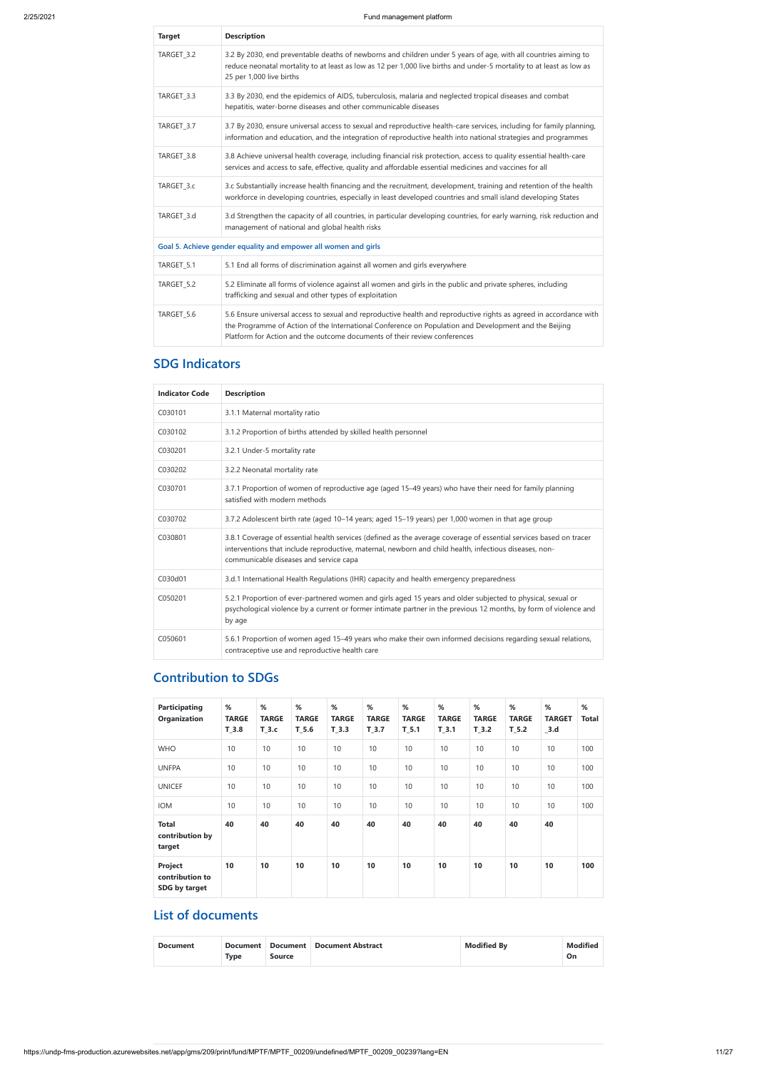| <b>Target</b> | <b>Description</b>                                                                                                                                                                                                                                                                                       |
|---------------|----------------------------------------------------------------------------------------------------------------------------------------------------------------------------------------------------------------------------------------------------------------------------------------------------------|
| TARGET_3.2    | 3.2 By 2030, end preventable deaths of newborns and children under 5 years of age, with all countries aiming to<br>reduce neonatal mortality to at least as low as 12 per 1,000 live births and under-5 mortality to at least as low as<br>25 per 1,000 live births                                      |
| TARGET_3.3    | 3.3 By 2030, end the epidemics of AIDS, tuberculosis, malaria and neglected tropical diseases and combat<br>hepatitis, water-borne diseases and other communicable diseases                                                                                                                              |
| TARGET 3.7    | 3.7 By 2030, ensure universal access to sexual and reproductive health-care services, including for family planning,<br>information and education, and the integration of reproductive health into national strategies and programmes                                                                    |
| TARGET_3.8    | 3.8 Achieve universal health coverage, including financial risk protection, access to quality essential health-care<br>services and access to safe, effective, quality and affordable essential medicines and vaccines for all                                                                           |
| TARGET_3.c    | 3.c Substantially increase health financing and the recruitment, development, training and retention of the health<br>workforce in developing countries, especially in least developed countries and small island developing States                                                                      |
| TARGET 3.d    | 3.d Strengthen the capacity of all countries, in particular developing countries, for early warning, risk reduction and<br>management of national and global health risks                                                                                                                                |
|               | Goal 5. Achieve gender equality and empower all women and girls                                                                                                                                                                                                                                          |
| TARGET_5.1    | 5.1 End all forms of discrimination against all women and girls everywhere                                                                                                                                                                                                                               |
| TARGET_5.2    | 5.2 Eliminate all forms of violence against all women and girls in the public and private spheres, including<br>trafficking and sexual and other types of exploitation                                                                                                                                   |
| TARGET 5.6    | 5.6 Ensure universal access to sexual and reproductive health and reproductive rights as agreed in accordance with<br>the Programme of Action of the International Conference on Population and Development and the Beijing<br>Platform for Action and the outcome documents of their review conferences |

# **SDG Indicators**

| <b>Indicator Code</b> | <b>Description</b>                                                                                                                                                                                                                                                     |
|-----------------------|------------------------------------------------------------------------------------------------------------------------------------------------------------------------------------------------------------------------------------------------------------------------|
| C030101               | 3.1.1 Maternal mortality ratio                                                                                                                                                                                                                                         |
| C030102               | 3.1.2 Proportion of births attended by skilled health personnel                                                                                                                                                                                                        |
| C030201               | 3.2.1 Under-5 mortality rate                                                                                                                                                                                                                                           |
| C030202               | 3.2.2 Neonatal mortality rate                                                                                                                                                                                                                                          |
| C030701               | 3.7.1 Proportion of women of reproductive age (aged 15–49 years) who have their need for family planning<br>satisfied with modern methods                                                                                                                              |
| C030702               | 3.7.2 Adolescent birth rate (aged 10-14 years; aged 15-19 years) per 1,000 women in that age group                                                                                                                                                                     |
| C030801               | 3.8.1 Coverage of essential health services (defined as the average coverage of essential services based on tracer<br>interventions that include reproductive, maternal, newborn and child health, infectious diseases, non-<br>communicable diseases and service capa |
| C030d01               | 3.d.1 International Health Regulations (IHR) capacity and health emergency preparedness                                                                                                                                                                                |
| C050201               | 5.2.1 Proportion of ever-partnered women and girls aged 15 years and older subjected to physical, sexual or<br>psychological violence by a current or former intimate partner in the previous 12 months, by form of violence and<br>by age                             |
| C050601               | 5.6.1 Proportion of women aged 15-49 years who make their own informed decisions regarding sexual relations,<br>contraceptive use and reproductive health care                                                                                                         |

# **Contribution to SDGs**

| <b>Participating</b><br><b>Organization</b> | %<br><b>TARGE</b><br>$T_3.8$ | %<br><b>TARGE</b><br>T 3.c | %<br><b>TARGE</b><br>T <sub>5.6</sub> | %<br><b>TARGE</b><br>T <sub>3.3</sub> | %<br><b>TARGE</b><br>$T_3.7$ | %<br><b>TARGE</b><br>$T_5.1$ | %<br><b>TARGE</b><br>T <sub>3.1</sub> | %<br><b>TARGE</b><br>$T_3.2$ | %<br><b>TARGE</b><br>$T_5.2$ | %<br><b>TARGET</b><br>$_3.d$ | %<br><b>Total</b> |
|---------------------------------------------|------------------------------|----------------------------|---------------------------------------|---------------------------------------|------------------------------|------------------------------|---------------------------------------|------------------------------|------------------------------|------------------------------|-------------------|
| <b>WHO</b>                                  | 10                           | 10                         | 10                                    | 10                                    | 10                           | 10                           | 10                                    | 10                           | 10                           | 10                           | 100               |
| <b>UNFPA</b>                                | 10                           | 10                         | 10                                    | 10                                    | 10                           | 10                           | 10                                    | 10                           | 10                           | 10                           | 100               |
| <b>UNICEF</b>                               | 10                           | 10                         | 10                                    | 10                                    | 10                           | 10                           | 10                                    | 10                           | 10                           | 10                           | 100               |
| <b>IOM</b>                                  | 10                           | 10                         | 10                                    | 10                                    | 10                           | 10                           | 10                                    | 10                           | 10                           | 10                           | 100               |
| <b>Total</b><br>contribution by<br>target   | 40                           | 40                         | 40                                    | 40                                    | 40                           | 40                           | 40                                    | 40                           | 40                           | 40                           |                   |
| Project<br>contribution to<br>SDG by target | 10                           | 10                         | 10                                    | 10                                    | 10                           | 10                           | 10                                    | 10                           | 10                           | 10                           | 100               |

# **List of documents**

| <b>Document</b> | <b>Document</b> |               | Document   Document Abstract | <b>Modified By</b> | Modifieg |
|-----------------|-----------------|---------------|------------------------------|--------------------|----------|
|                 | <b>Type</b>     | <b>Source</b> |                              |                    | On       |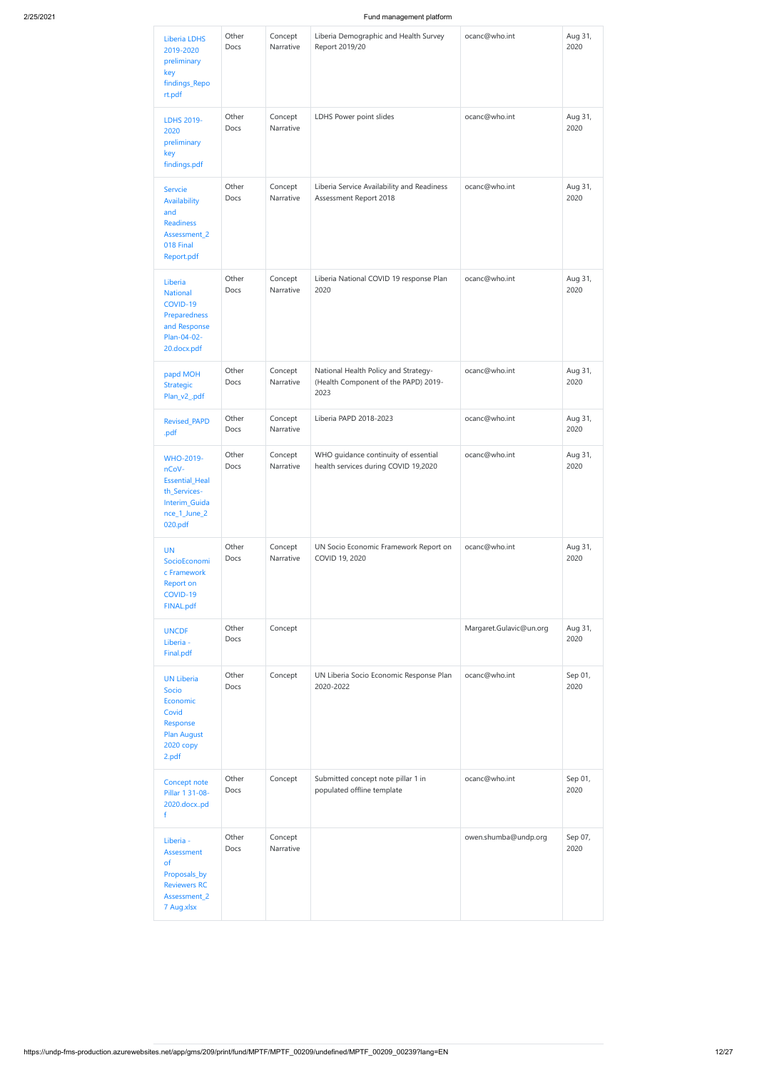| Liberia LDHS<br>2019-2020<br>preliminary<br>key<br>findings_Repo<br>rt.pdf                              | Other<br>Docs        | Concept<br>Narrative | Liberia Demographic and Health Survey<br>Report 2019/20                              | ocanc@who.int           | Aug 31,<br>2020 |
|---------------------------------------------------------------------------------------------------------|----------------------|----------------------|--------------------------------------------------------------------------------------|-------------------------|-----------------|
| LDHS 2019-<br>2020<br>preliminary<br>key<br>findings.pdf                                                | Other<br>Docs        | Concept<br>Narrative | LDHS Power point slides                                                              | ocanc@who.int           | Aug 31,<br>2020 |
| Servcie<br>Availability<br>and<br><b>Readiness</b><br>Assessment_2<br>018 Final<br>Report.pdf           | Other<br>Docs        | Concept<br>Narrative | Liberia Service Availability and Readiness<br>Assessment Report 2018                 | ocanc@who.int           | Aug 31,<br>2020 |
| Liberia<br><b>National</b><br>COVID-19<br>Preparedness<br>and Response<br>Plan-04-02-<br>20.docx.pdf    | Other<br>Docs        | Concept<br>Narrative | Liberia National COVID 19 response Plan<br>2020                                      | ocanc@who.int           | Aug 31,<br>2020 |
| papd MOH<br><b>Strategic</b><br>Plan_v2_.pdf                                                            | Other<br>Docs        | Concept<br>Narrative | National Health Policy and Strategy-<br>(Health Component of the PAPD) 2019-<br>2023 | ocanc@who.int           | Aug 31,<br>2020 |
| <b>Revised_PAPD</b><br>.pdf                                                                             | Other<br>Docs        | Concept<br>Narrative | Liberia PAPD 2018-2023                                                               | ocanc@who.int           | Aug 31,<br>2020 |
| WHO-2019-<br>nCoV-<br><b>Essential_Heal</b><br>th_Services-<br>Interim_Guida<br>nce_1_June_2<br>020.pdf | Other<br>Docs        | Concept<br>Narrative | WHO guidance continuity of essential<br>health services during COVID 19,2020         | ocanc@who.int           | Aug 31,<br>2020 |
| <b>UN</b><br>SocioEconomi<br>c Framework<br><b>Report on</b><br>COVID-19<br><b>FINAL.pdf</b>            | Other<br>Docs        | Concept<br>Narrative | UN Socio Economic Framework Report on<br>COVID 19, 2020                              | ocanc@who.int           | Aug 31,<br>2020 |
| <b>UNCDF</b><br>Liberia -<br>Final.pdf                                                                  | Other<br>Docs        | Concept              |                                                                                      | Margaret.Gulavic@un.org | Aug 31,<br>2020 |
| <b>UN Liberia</b><br>Socio<br>Economic<br>Covid<br>Response<br><b>Plan August</b><br>2020 copy<br>2.pdf | Other<br>Docs        | Concept              | UN Liberia Socio Economic Response Plan<br>2020-2022                                 | ocanc@who.int           | Sep 01,<br>2020 |
| Concept note<br>Pillar 1 31-08-<br>2020.docxpd<br>$\mathsf{f}$                                          | Other<br><b>Docs</b> | Concept              | Submitted concept note pillar 1 in<br>populated offline template                     | ocanc@who.int           | Sep 01,<br>2020 |
| Liberia -<br>Assessment<br>of<br>Proposals_by<br><b>Reviewers RC</b><br>Assessment_2<br>7 Aug.xlsx      | Other<br>Docs        | Concept<br>Narrative |                                                                                      | owen.shumba@undp.org    | Sep 07,<br>2020 |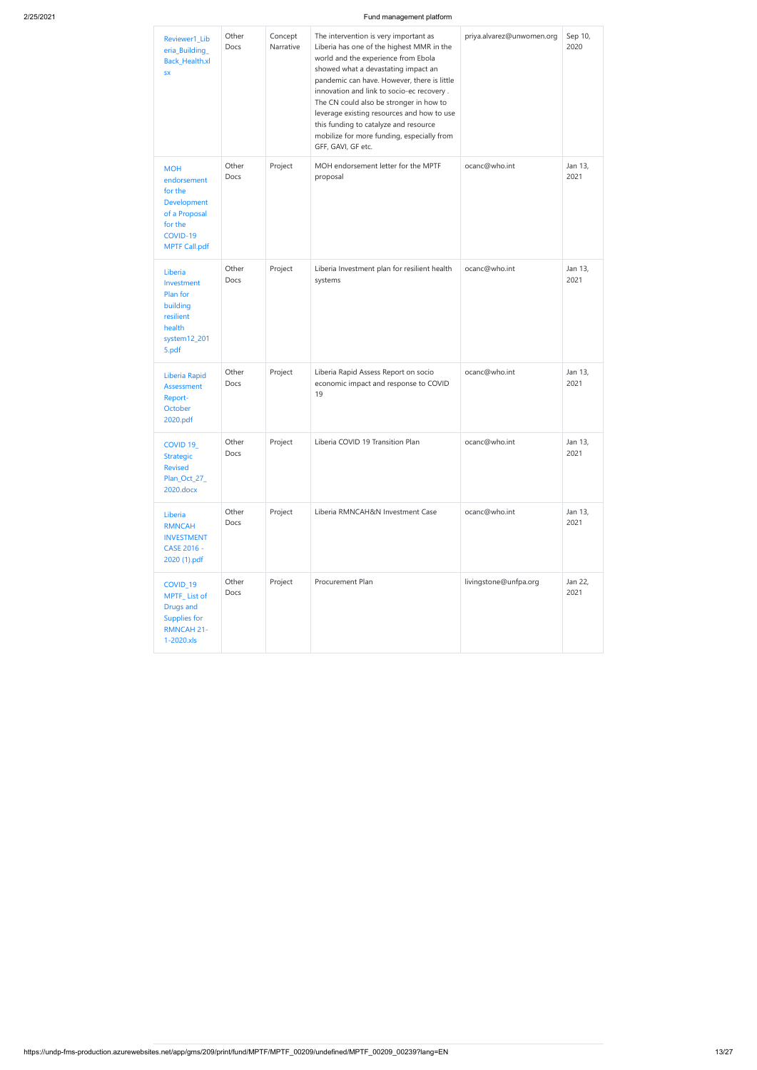| Reviewer1_Lib<br>eria_Building_<br>Back_Health.xl<br><b>SX</b>                                                      | Other<br>Docs        | Concept<br>Narrative | The intervention is very important as<br>Liberia has one of the highest MMR in the<br>world and the experience from Ebola<br>showed what a devastating impact an<br>pandemic can have. However, there is little<br>innovation and link to socio-ec recovery.<br>The CN could also be stronger in how to<br>leverage existing resources and how to use<br>this funding to catalyze and resource<br>mobilize for more funding, especially from<br>GFF, GAVI, GF etc. | priya.alvarez@unwomen.org | Sep 10,<br>2020 |
|---------------------------------------------------------------------------------------------------------------------|----------------------|----------------------|--------------------------------------------------------------------------------------------------------------------------------------------------------------------------------------------------------------------------------------------------------------------------------------------------------------------------------------------------------------------------------------------------------------------------------------------------------------------|---------------------------|-----------------|
| <b>MOH</b><br>endorsement<br>for the<br>Development<br>of a Proposal<br>for the<br>COVID-19<br><b>MPTF Call.pdf</b> | Other<br>Docs        | Project              | MOH endorsement letter for the MPTF<br>proposal                                                                                                                                                                                                                                                                                                                                                                                                                    | ocanc@who.int             | Jan 13,<br>2021 |
| Liberia<br>Investment<br>Plan for<br>building<br>resilient<br>health<br>system12_201<br>5.pdf                       | Other<br><b>Docs</b> | Project              | Liberia Investment plan for resilient health<br>systems                                                                                                                                                                                                                                                                                                                                                                                                            | ocanc@who.int             | Jan 13,<br>2021 |
| Liberia Rapid<br><b>Assessment</b><br>Report-<br>October<br>2020.pdf                                                | Other<br>Docs        | Project              | Liberia Rapid Assess Report on socio<br>economic impact and response to COVID<br>19                                                                                                                                                                                                                                                                                                                                                                                | ocanc@who.int             | Jan 13,<br>2021 |
| COVID <sub>19</sub><br><b>Strategic</b><br><b>Revised</b><br>Plan_Oct_27_<br>2020.docx                              | Other<br>Docs        | Project              | Liberia COVID 19 Transition Plan                                                                                                                                                                                                                                                                                                                                                                                                                                   | ocanc@who.int             | Jan 13,<br>2021 |
| Liberia<br><b>RMNCAH</b><br><b>INVESTMENT</b><br>CASE 2016 -<br>2020 (1).pdf                                        | Other<br>Docs        | Project              | Liberia RMNCAH&N Investment Case                                                                                                                                                                                                                                                                                                                                                                                                                                   | ocanc@who.int             | Jan 13,<br>2021 |
| COVID_19<br>MPTF_List of<br><b>Drugs and</b><br>Supplies for<br><b>RMNCAH 21-</b><br>1-2020.xls                     | Other<br>Docs        | Project              | <b>Procurement Plan</b>                                                                                                                                                                                                                                                                                                                                                                                                                                            | livingstone@unfpa.org     | Jan 22,<br>2021 |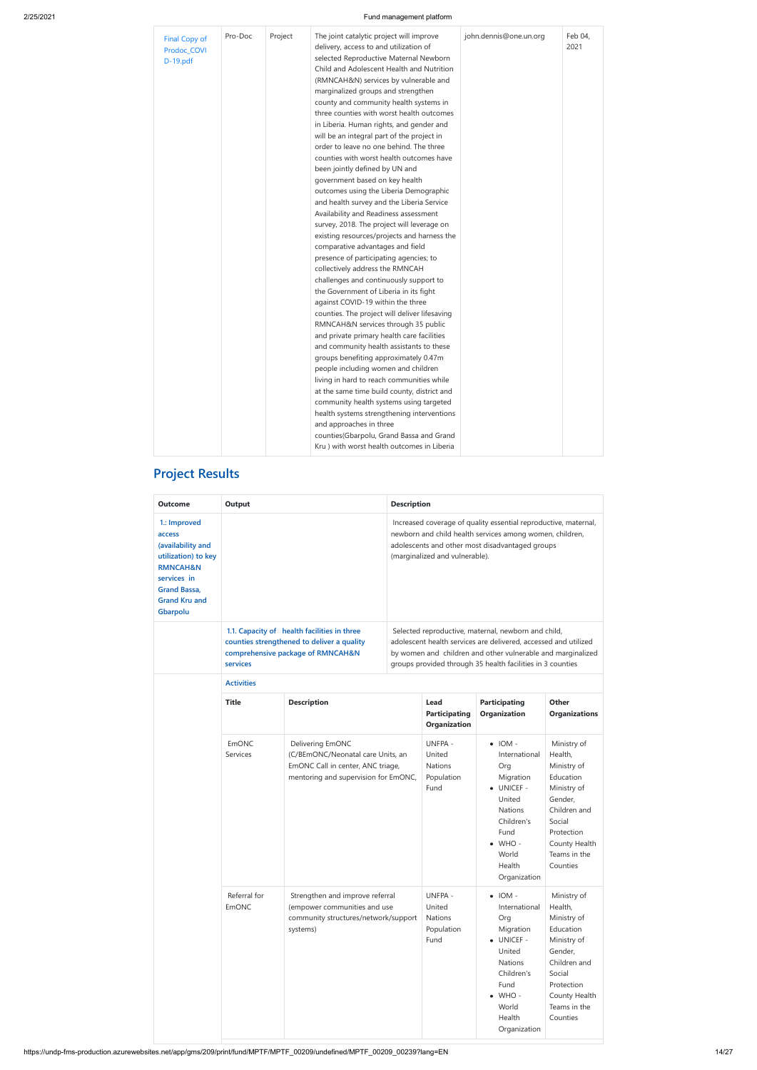| Pro-Doc<br>Project<br>Final Copy of<br>Prodoc_COVI<br>D-19.pdf | The joint catalytic project will improve<br>delivery, access to and utilization of<br>selected Reproductive Maternal Newborn<br>Child and Adolescent Health and Nutrition<br>(RMNCAH&N) services by vulnerable and<br>marginalized groups and strengthen<br>county and community health systems in<br>three counties with worst health outcomes<br>in Liberia. Human rights, and gender and<br>will be an integral part of the project in<br>order to leave no one behind. The three<br>counties with worst health outcomes have<br>been jointly defined by UN and<br>government based on key health<br>outcomes using the Liberia Demographic<br>and health survey and the Liberia Service<br>Availability and Readiness assessment<br>survey, 2018. The project will leverage on<br>existing resources/projects and harness the<br>comparative advantages and field<br>presence of participating agencies; to<br>collectively address the RMNCAH<br>challenges and continuously support to<br>the Government of Liberia in its fight<br>against COVID-19 within the three<br>counties. The project will deliver lifesaving<br>RMNCAH&N services through 35 public<br>and private primary health care facilities<br>and community health assistants to these<br>groups benefiting approximately 0.47m<br>people including women and children<br>living in hard to reach communities while<br>at the same time build county, district and<br>community health systems using targeted<br>health systems strengthening interventions<br>and approaches in three<br>counties(Gbarpolu, Grand Bassa and Grand<br>Kru) with worst health outcomes in Liberia | john.dennis@one.un.org | Feb 04.<br>2021 |
|----------------------------------------------------------------|---------------------------------------------------------------------------------------------------------------------------------------------------------------------------------------------------------------------------------------------------------------------------------------------------------------------------------------------------------------------------------------------------------------------------------------------------------------------------------------------------------------------------------------------------------------------------------------------------------------------------------------------------------------------------------------------------------------------------------------------------------------------------------------------------------------------------------------------------------------------------------------------------------------------------------------------------------------------------------------------------------------------------------------------------------------------------------------------------------------------------------------------------------------------------------------------------------------------------------------------------------------------------------------------------------------------------------------------------------------------------------------------------------------------------------------------------------------------------------------------------------------------------------------------------------------------------------------------------------------------------------------------------------|------------------------|-----------------|
|----------------------------------------------------------------|---------------------------------------------------------------------------------------------------------------------------------------------------------------------------------------------------------------------------------------------------------------------------------------------------------------------------------------------------------------------------------------------------------------------------------------------------------------------------------------------------------------------------------------------------------------------------------------------------------------------------------------------------------------------------------------------------------------------------------------------------------------------------------------------------------------------------------------------------------------------------------------------------------------------------------------------------------------------------------------------------------------------------------------------------------------------------------------------------------------------------------------------------------------------------------------------------------------------------------------------------------------------------------------------------------------------------------------------------------------------------------------------------------------------------------------------------------------------------------------------------------------------------------------------------------------------------------------------------------------------------------------------------------|------------------------|-----------------|

# **Project Results**

| <b>Outcome</b>                                                                                                                                                      | Output            |                                                                                                                                    | <b>Description</b>                                               |                                                                                                                                                                                                                                                     |                                                                              |  |  |
|---------------------------------------------------------------------------------------------------------------------------------------------------------------------|-------------------|------------------------------------------------------------------------------------------------------------------------------------|------------------------------------------------------------------|-----------------------------------------------------------------------------------------------------------------------------------------------------------------------------------------------------------------------------------------------------|------------------------------------------------------------------------------|--|--|
| 1.: Improved<br>access<br>(availability and<br>utilization) to key<br><b>RMNCAH&amp;N</b><br>services in<br><b>Grand Bassa,</b><br><b>Grand Kru and</b><br>Gbarpolu |                   |                                                                                                                                    | (marginalized and vulnerable).                                   | Increased coverage of quality essential reproductive, maternal,<br>newborn and child health services among women, children,<br>adolescents and other most disadvantaged groups                                                                      |                                                                              |  |  |
|                                                                                                                                                                     | services          | 1.1. Capacity of health facilities in three<br>counties strengthened to deliver a quality<br>comprehensive package of RMNCAH&N     |                                                                  | Selected reproductive, maternal, newborn and child,<br>adolescent health services are delivered, accessed and utilized<br>by women and children and other vulnerable and marginalized<br>groups provided through 35 health facilities in 3 counties |                                                                              |  |  |
|                                                                                                                                                                     | <b>Activities</b> |                                                                                                                                    |                                                                  |                                                                                                                                                                                                                                                     |                                                                              |  |  |
|                                                                                                                                                                     | <b>Title</b>      | <b>Description</b>                                                                                                                 | Lead<br>Participating<br>Organization                            | <b>Participating</b><br><b>Organization</b>                                                                                                                                                                                                         | Other<br><b>Organizations</b>                                                |  |  |
|                                                                                                                                                                     | EmONC<br>Services | Delivering EmONC<br>(C/BEmONC/Neonatal care Units, an<br>EmONC Call in center, ANC triage,<br>mentoring and supervision for EmONC, | <b>UNFPA -</b><br>United<br><b>Nations</b><br>Population<br>Fund | $\bullet$ IOM -<br>International<br>Org<br>Migration<br>• UNICEF -<br>United                                                                                                                                                                        | Ministry of<br>Health,<br>Ministry of<br>Education<br>Ministry of<br>Gender, |  |  |

|                       |                                                                                                                     |                                                                  | <b>Nations</b><br>Children's<br>Fund<br>$\bullet$ WHO -<br>World<br>Health<br>Organization                                                                                                   | Children and<br>Social<br>Protection<br>County Health<br>Teams in the<br>Counties                                                                                 |
|-----------------------|---------------------------------------------------------------------------------------------------------------------|------------------------------------------------------------------|----------------------------------------------------------------------------------------------------------------------------------------------------------------------------------------------|-------------------------------------------------------------------------------------------------------------------------------------------------------------------|
| Referral for<br>EmONC | Strengthen and improve referral<br>(empower communities and use<br>community structures/network/support<br>systems) | <b>UNFPA -</b><br>United<br><b>Nations</b><br>Population<br>Fund | $\bullet$ IOM -<br>International<br>Org<br>Migration<br><b>UNICEF -</b><br>$\bullet$<br>United<br><b>Nations</b><br>Children's<br>Fund<br>$\bullet$ WHO -<br>World<br>Health<br>Organization | Ministry of<br>Health,<br>Ministry of<br>Education<br>Ministry of<br>Gender,<br>Children and<br>Social<br>Protection<br>County Health<br>Teams in the<br>Counties |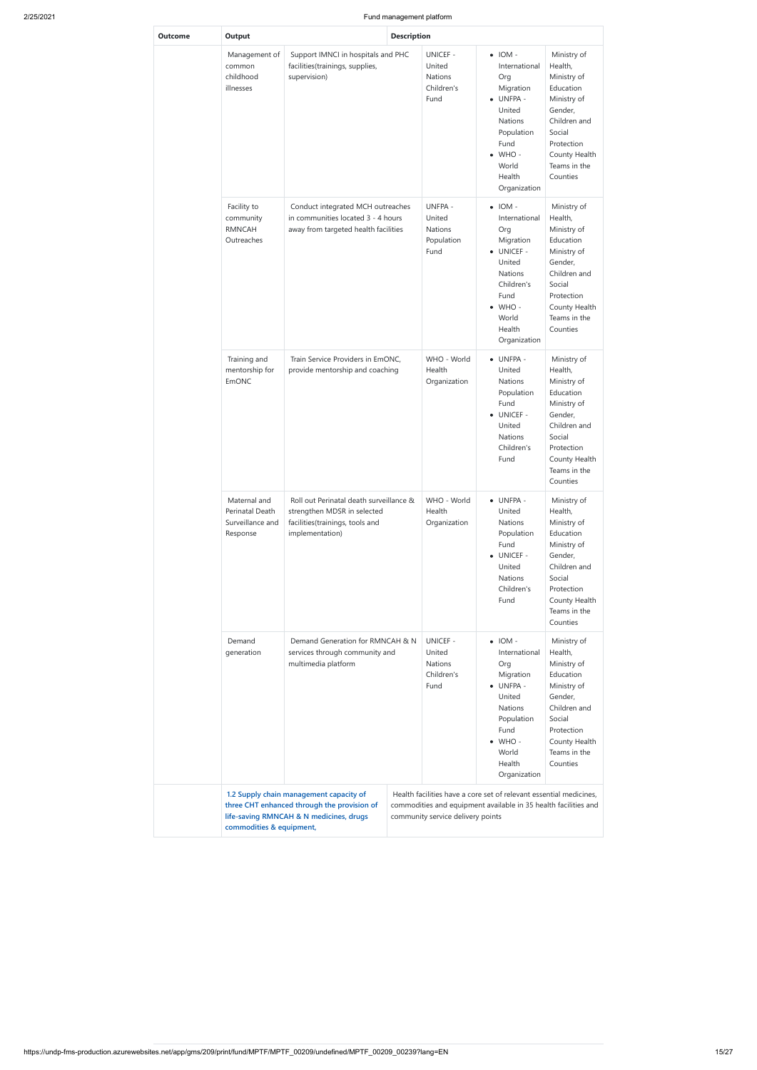| Outcome | Output                                                                                                                                                                                          |                                                                                           | <b>Description</b> |                                                                   |                                                                                                                                                                           |                                                                                                                                                                   |
|---------|-------------------------------------------------------------------------------------------------------------------------------------------------------------------------------------------------|-------------------------------------------------------------------------------------------|--------------------|-------------------------------------------------------------------|---------------------------------------------------------------------------------------------------------------------------------------------------------------------------|-------------------------------------------------------------------------------------------------------------------------------------------------------------------|
|         | Management of<br>common<br>childhood<br>illnesses                                                                                                                                               | Support IMNCI in hospitals and PHC<br>facilities(trainings, supplies,<br>supervision)     |                    | <b>UNICEF -</b><br>United<br><b>Nations</b><br>Children's<br>Fund | $\bullet$ IOM -<br>International<br>Org<br>Migration<br>• UNFPA -<br>United<br>Nations<br>Population<br>Fund<br>$\bullet$ WHO -<br>World<br>Health<br>Organization        | Ministry of<br>Health,<br>Ministry of<br>Education<br>Ministry of<br>Gender,<br>Children and<br>Social<br>Protection<br>County Health<br>Teams in the<br>Counties |
|         | Facility to<br>Conduct integrated MCH outreaches<br>in communities located 3 - 4 hours<br>community<br><b>RMNCAH</b><br>away from targeted health facilities<br>Outreaches                      |                                                                                           |                    | UNFPA -<br>United<br><b>Nations</b><br>Population<br>Fund         | $\bullet$ IOM -<br>International<br>Org<br>Migration<br>· UNICEF -<br>United<br>Nations<br>Children's<br>Fund<br>$\bullet$ WHO -<br>World<br>Health<br>Organization       | Ministry of<br>Health,<br>Ministry of<br>Education<br>Ministry of<br>Gender,<br>Children and<br>Social<br>Protection<br>County Health<br>Teams in the<br>Counties |
|         | Training and<br>mentorship for<br><b>EmONC</b>                                                                                                                                                  | Train Service Providers in EmONC,<br>provide mentorship and coaching                      |                    | WHO - World<br>Health<br>Organization                             | • UNFPA -<br>United<br>Nations<br>Population<br>Fund<br><b>UNICEF -</b><br>$\bullet$<br>United<br><b>Nations</b><br>Children's<br>Fund                                    | Ministry of<br>Health,<br>Ministry of<br>Education<br>Ministry of<br>Gender,<br>Children and<br>Social<br>Protection<br>County Health<br>Teams in the<br>Counties |
|         | Maternal and<br>Roll out Perinatal death surveillance &<br>Perinatal Death<br>strengthen MDSR in selected<br>Surveillance and<br>facilities(trainings, tools and<br>implementation)<br>Response |                                                                                           |                    | WHO - World<br>Health<br>Organization                             | • UNFPA -<br>United<br><b>Nations</b><br>Population<br>Fund<br>• UNICEF -<br>United<br><b>Nations</b><br>Children's<br>Fund                                               | Ministry of<br>Health,<br>Ministry of<br>Education<br>Ministry of<br>Gender,<br>Children and<br>Social<br>Protection<br>County Health<br>Teams in the<br>Counties |
|         | Demand<br>generation                                                                                                                                                                            | Demand Generation for RMNCAH & N<br>services through community and<br>multimedia platform |                    | UNICEF -<br>United<br><b>Nations</b><br>Children's<br>Fund        | $\bullet$ IOM -<br>International<br>Org<br>Migration<br>• UNFPA -<br>United<br><b>Nations</b><br>Population<br>Fund<br>$\bullet$ WHO -<br>World<br>Health<br>Organization | Ministry of<br>Health,<br>Ministry of<br>Education<br>Ministry of<br>Gender,<br>Children and<br>Social<br>Protection<br>County Health<br>Teams in the<br>Counties |

 **1.2 Supply chain management capacity of three CHT enhanced through the provision of**

| life-saving RMNCAH & N medicines, drugs | community service delivery points |
|-----------------------------------------|-----------------------------------|
| commodities & equipment,                |                                   |

commodities and equipment available in 35 health facilities and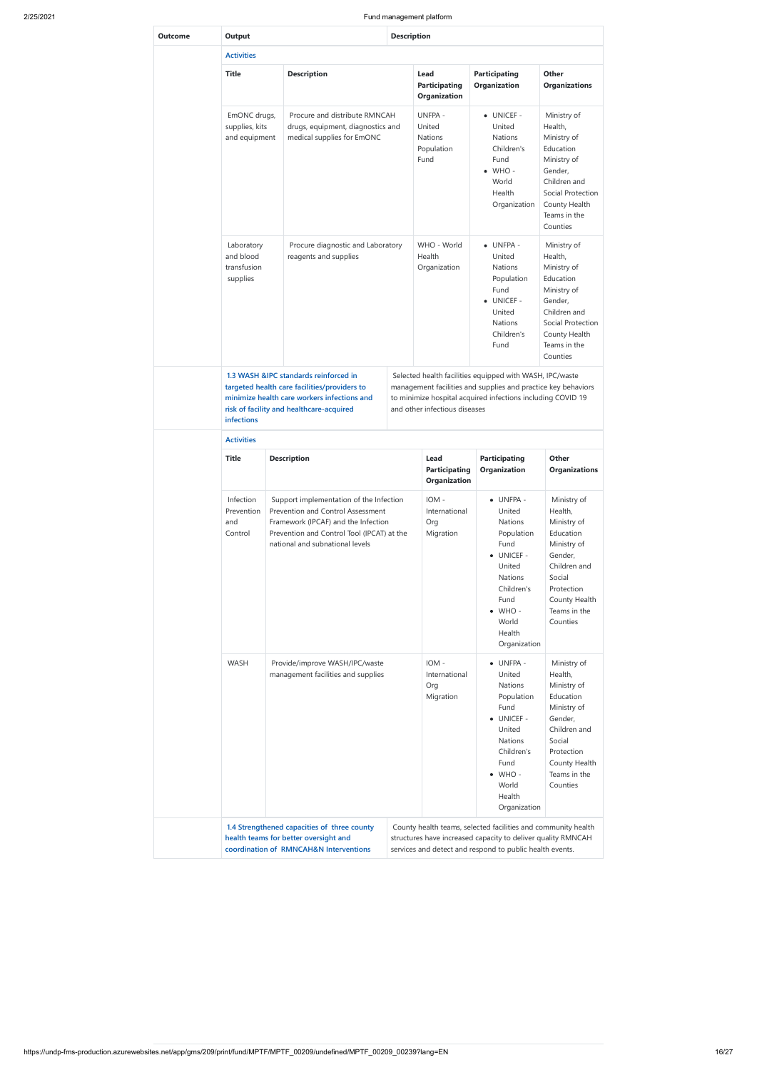|                |                                                    |                                                                                                                                                                                                      | Fund management platform                                                                                                                                                                                                  |                                                                                                                                                                     |                                                                                                                                                                   |  |
|----------------|----------------------------------------------------|------------------------------------------------------------------------------------------------------------------------------------------------------------------------------------------------------|---------------------------------------------------------------------------------------------------------------------------------------------------------------------------------------------------------------------------|---------------------------------------------------------------------------------------------------------------------------------------------------------------------|-------------------------------------------------------------------------------------------------------------------------------------------------------------------|--|
| <b>Outcome</b> | Output                                             |                                                                                                                                                                                                      | <b>Description</b>                                                                                                                                                                                                        |                                                                                                                                                                     |                                                                                                                                                                   |  |
|                | <b>Activities</b>                                  |                                                                                                                                                                                                      |                                                                                                                                                                                                                           |                                                                                                                                                                     |                                                                                                                                                                   |  |
|                | <b>Title</b>                                       | <b>Description</b>                                                                                                                                                                                   | Lead<br><b>Participating</b><br>Organization                                                                                                                                                                              | <b>Participating</b><br>Organization                                                                                                                                | <b>Other</b><br><b>Organizations</b>                                                                                                                              |  |
|                | EmONC drugs,<br>supplies, kits<br>and equipment    | Procure and distribute RMNCAH<br>drugs, equipment, diagnostics and<br>medical supplies for EmONC                                                                                                     | UNFPA -<br>United<br>Nations<br>Population<br>Fund                                                                                                                                                                        | • UNICEF -<br>United<br><b>Nations</b><br>Children's<br>Fund<br>$\bullet$ WHO -<br>World<br>Health<br>Organization                                                  | Ministry of<br>Health,<br>Ministry of<br>Education<br>Ministry of<br>Gender,<br>Children and<br>Social Protection<br>County Health<br>Teams in the<br>Counties    |  |
|                | Laboratory<br>and blood<br>transfusion<br>supplies | Procure diagnostic and Laboratory<br>reagents and supplies                                                                                                                                           | WHO - World<br>Health<br>Organization                                                                                                                                                                                     | • UNFPA -<br>United<br><b>Nations</b><br>Population<br>Fund<br>• UNICEF -<br>United<br><b>Nations</b><br>Children's<br>Fund                                         | Ministry of<br>Health,<br>Ministry of<br>Education<br>Ministry of<br>Gender,<br>Children and<br>Social Protection<br>County Health<br>Teams in the<br>Counties    |  |
|                | infections                                         | 1.3 WASH &IPC standards reinforced in<br>targeted health care facilities/providers to<br>minimize health care workers infections and<br>risk of facility and healthcare-acquired                     | Selected health facilities equipped with WASH, IPC/waste<br>management facilities and supplies and practice key behaviors<br>to minimize hospital acquired infections including COVID 19<br>and other infectious diseases |                                                                                                                                                                     |                                                                                                                                                                   |  |
|                | <b>Activities</b>                                  |                                                                                                                                                                                                      |                                                                                                                                                                                                                           |                                                                                                                                                                     |                                                                                                                                                                   |  |
|                | <b>Title</b>                                       | <b>Description</b>                                                                                                                                                                                   | Lead<br><b>Participating</b><br>Organization                                                                                                                                                                              | <b>Participating</b><br>Organization                                                                                                                                | Other<br><b>Organizations</b>                                                                                                                                     |  |
|                | Infection<br>Prevention<br>and<br>Control          | Support implementation of the Infection<br>Prevention and Control Assessment<br>Framework (IPCAF) and the Infection<br>Prevention and Control Tool (IPCAT) at the<br>national and subnational levels | IOM -<br>International<br>Org<br>Migration                                                                                                                                                                                | · UNFPA -<br>United<br>Nations<br>Population<br>Fund<br>• UNICEF -<br>United<br>Nations<br>Children's<br>Fund<br>$\bullet$ WHO -<br>World<br>Health<br>Organization | Ministry of<br>Health,<br>Ministry of<br>Education<br>Ministry of<br>Gender,<br>Children and<br>Social<br>Protection<br>County Health<br>Teams in the<br>Counties |  |
|                | <b>WASH</b>                                        | Provide/improve WASH/IPC/waste<br>management facilities and supplies                                                                                                                                 | IOM -<br>International<br>Org<br>Migration                                                                                                                                                                                | · UNFPA -<br>United<br>Nations<br>Population<br>Fund<br>• UNICEF -<br>United<br>Nations<br>Children's<br>Fund<br>$\bullet$ WHO -<br>World                           | Ministry of<br>Health,<br>Ministry of<br>Education<br>Ministry of<br>Gender,<br>Children and<br>Social<br>Protection<br>County Health<br>Teams in the<br>Counties |  |

Health

|  |                                                                                                                                |  | Organization                                                                                                                                                                              |  |
|--|--------------------------------------------------------------------------------------------------------------------------------|--|-------------------------------------------------------------------------------------------------------------------------------------------------------------------------------------------|--|
|  | 1.4 Strengthened capacities of three county<br>health teams for better oversight and<br>coordination of RMNCAH&N Interventions |  | County health teams, selected facilities and community health<br>structures have increased capacity to deliver quality RMNCAH<br>services and detect and respond to public health events. |  |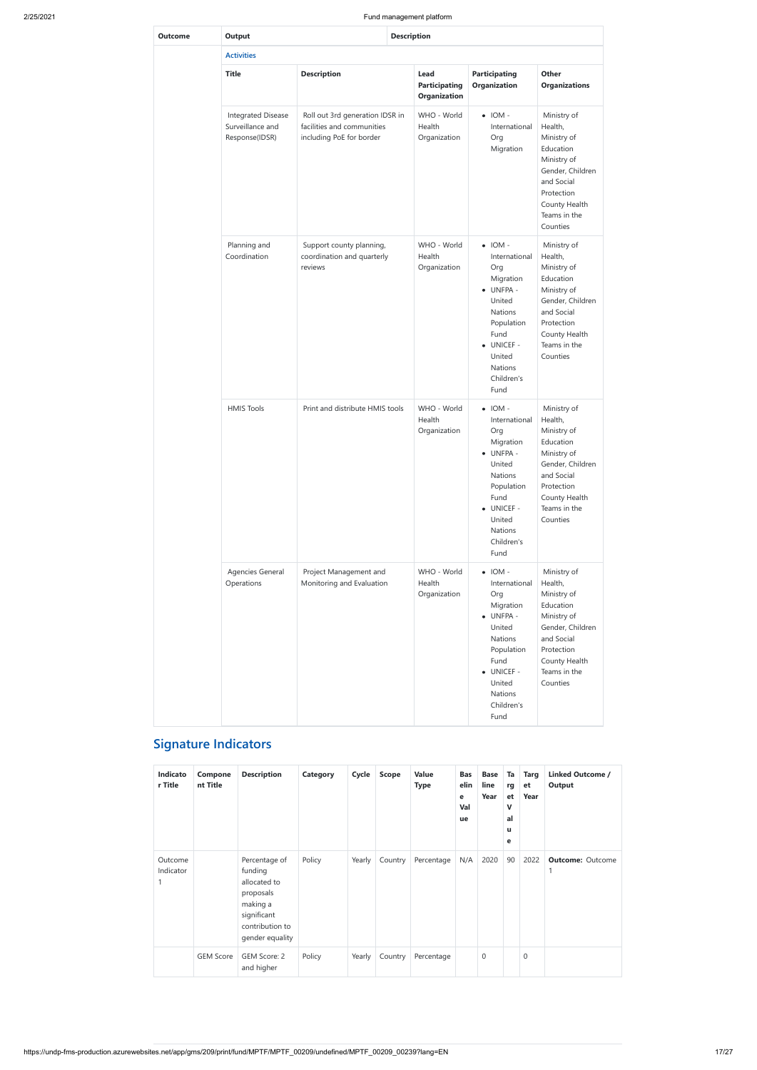|                |                                                                 |                                                                                           | Fund management platform                     |                                                                                                                                                                       |                                                                                                                                                                |  |  |
|----------------|-----------------------------------------------------------------|-------------------------------------------------------------------------------------------|----------------------------------------------|-----------------------------------------------------------------------------------------------------------------------------------------------------------------------|----------------------------------------------------------------------------------------------------------------------------------------------------------------|--|--|
| <b>Outcome</b> | Output<br><b>Description</b>                                    |                                                                                           |                                              |                                                                                                                                                                       |                                                                                                                                                                |  |  |
|                | <b>Activities</b>                                               |                                                                                           |                                              |                                                                                                                                                                       |                                                                                                                                                                |  |  |
|                | <b>Title</b>                                                    | <b>Description</b>                                                                        | Lead<br><b>Participating</b><br>Organization | <b>Participating</b><br>Organization                                                                                                                                  | Other<br><b>Organizations</b>                                                                                                                                  |  |  |
|                | <b>Integrated Disease</b><br>Surveillance and<br>Response(IDSR) | Roll out 3rd generation IDSR in<br>facilities and communities<br>including PoE for border | WHO - World<br>Health<br>Organization        | $\bullet$ IOM -<br>International<br>Org<br>Migration                                                                                                                  | Ministry of<br>Health,<br>Ministry of<br>Education<br>Ministry of<br>Gender, Children<br>and Social<br>Protection<br>County Health<br>Teams in the<br>Counties |  |  |
|                | Planning and<br>Coordination                                    | Support county planning,<br>coordination and quarterly<br>reviews                         | WHO - World<br>Health<br>Organization        | $\bullet$ IOM -<br>International<br>Org<br>Migration<br>· UNFPA -<br>United<br>Nations<br>Population<br>Fund<br>· UNICEF -<br>United<br>Nations<br>Children's<br>Fund | Ministry of<br>Health,<br>Ministry of<br>Education<br>Ministry of<br>Gender, Children<br>and Social<br>Protection<br>County Health<br>Teams in the<br>Counties |  |  |
|                | <b>HMIS Tools</b>                                               | Print and distribute HMIS tools                                                           | WHO - World<br>Health<br>Organization        | $\bullet$ IOM -<br>International<br>Org<br>Migration<br>· UNFPA -<br>United<br>Nations<br>Population<br>Fund<br>• UNICEF -<br>United<br>Nations<br>Children's<br>Fund | Ministry of<br>Health,<br>Ministry of<br>Education<br>Ministry of<br>Gender, Children<br>and Social<br>Protection<br>County Health<br>Teams in the<br>Counties |  |  |
|                | Agencies General<br>Operations                                  | Project Management and<br>Monitoring and Evaluation                                       | WHO - World<br>Health<br>Organization        | $\bullet$ IOM -<br>International<br>Org<br>Migration<br>· UNFPA -<br>United<br>Nations<br>Population<br>Fund<br>· UNICEF -<br>United<br>Nations<br>Children's<br>Fund | Ministry of<br>Health,<br>Ministry of<br>Education<br>Ministry of<br>Gender, Children<br>and Social<br>Protection<br>County Health<br>Teams in the<br>Counties |  |  |

# **Signature Indicators**

| Indicato<br>r Title  | Compone<br>nt Title | <b>Description</b>                                                                                                     | Category | Cycle  | <b>Scope</b> | <b>Value</b><br><b>Type</b> | <b>Bas</b><br>elin<br>e<br>Val<br>ue | <b>Base</b><br>line<br>Year | Ta<br>rg<br>et<br>v<br>al<br>u<br>e | <b>Targ</b><br>et<br>Year | <b>Linked Outcome /</b><br>Output |
|----------------------|---------------------|------------------------------------------------------------------------------------------------------------------------|----------|--------|--------------|-----------------------------|--------------------------------------|-----------------------------|-------------------------------------|---------------------------|-----------------------------------|
| Outcome<br>Indicator |                     | Percentage of<br>funding<br>allocated to<br>proposals<br>making a<br>significant<br>contribution to<br>gender equality | Policy   | Yearly | Country      | Percentage                  | N/A                                  | 2020                        | 90                                  | 2022                      | <b>Outcome: Outcome</b>           |
|                      | <b>GEM Score</b>    | GEM Score: 2<br>and higher                                                                                             | Policy   | Yearly | Country      | Percentage                  |                                      | 0                           |                                     | $\mathbf 0$               |                                   |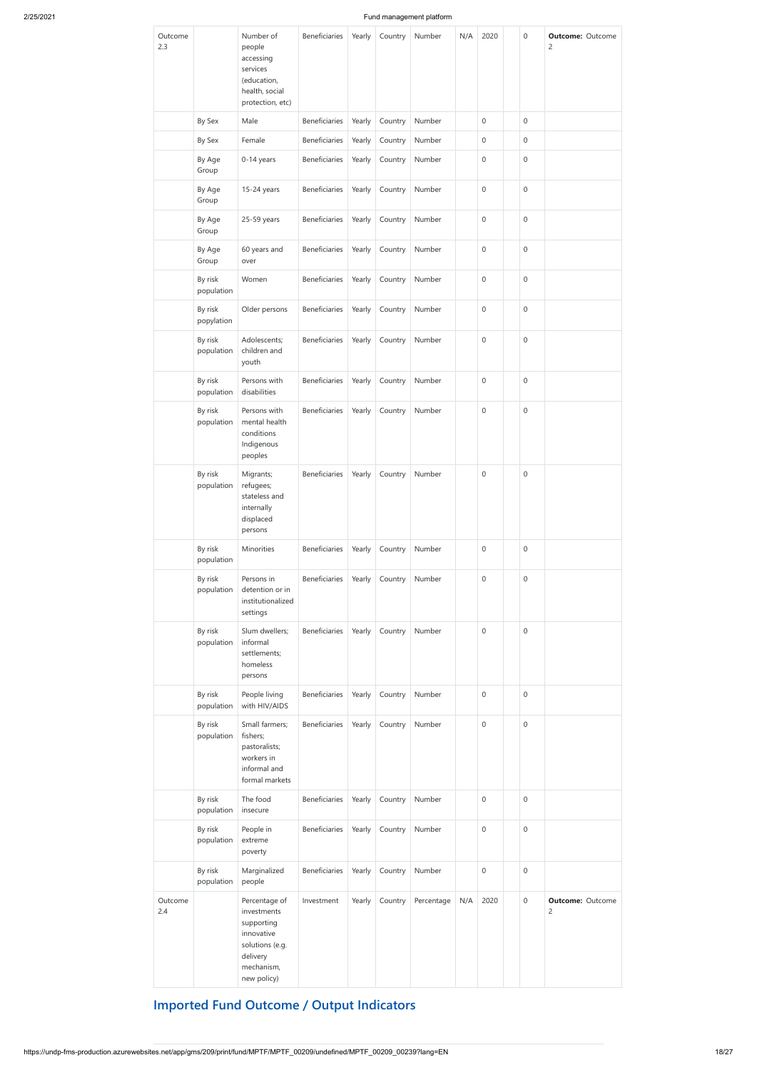| Outcome<br>2.3 |                       | Number of<br>people<br>accessing<br>services<br>(education,                                                          | <b>Beneficiaries</b>                | Yearly | Country | Number     | N/A | 2020             | $\mathbf 0$         | <b>Outcome: Outcome</b><br>$\overline{c}$ |
|----------------|-----------------------|----------------------------------------------------------------------------------------------------------------------|-------------------------------------|--------|---------|------------|-----|------------------|---------------------|-------------------------------------------|
|                |                       | health, social<br>protection, etc)                                                                                   |                                     |        |         |            |     |                  |                     |                                           |
|                | By Sex                | Male                                                                                                                 | Beneficiaries                       | Yearly | Country | Number     |     | $\boldsymbol{0}$ | $\boldsymbol{0}$    |                                           |
|                | By Sex                | Female                                                                                                               | Beneficiaries                       | Yearly | Country | Number     |     | $\boldsymbol{0}$ | $\mathbf 0$         |                                           |
|                | By Age<br>Group       | 0-14 years                                                                                                           | Beneficiaries                       | Yearly | Country | Number     |     | $\mathbf 0$      | $\mathbf 0$         |                                           |
|                | By Age<br>Group       | 15-24 years                                                                                                          | <b>Beneficiaries</b>                | Yearly | Country | Number     |     | $\mathbf 0$      | $\mathbf 0$         |                                           |
|                | By Age<br>Group       | 25-59 years                                                                                                          | Beneficiaries                       | Yearly | Country | Number     |     | $\boldsymbol{0}$ | $\mathbf 0$         |                                           |
|                | By Age<br>Group       | 60 years and<br>over                                                                                                 | Beneficiaries                       | Yearly | Country | Number     |     | $\mathbf 0$      | $\mathbf 0$         |                                           |
|                | By risk<br>population | Women                                                                                                                | Beneficiaries                       | Yearly | Country | Number     |     | $\mathbf 0$      | $\mathbf 0$         |                                           |
|                | By risk<br>popylation | Older persons                                                                                                        | Beneficiaries                       | Yearly | Country | Number     |     | $\mathbf 0$      | $\mathbf 0$         |                                           |
|                | By risk<br>population | Adolescents;<br>children and<br>youth                                                                                | Beneficiaries                       | Yearly | Country | Number     |     | $\mathbf 0$      | $\mathbf 0$         |                                           |
|                | By risk<br>population | Persons with<br>disabilities                                                                                         | Beneficiaries                       | Yearly | Country | Number     |     | 0                | $\mathbf 0$         |                                           |
|                | By risk<br>population | Persons with<br>mental health<br>conditions<br>Indigenous<br>peoples                                                 | Beneficiaries                       | Yearly | Country | Number     |     | $\boldsymbol{0}$ | $\mathbf 0$         |                                           |
|                | By risk<br>population | Migrants;<br>refugees;<br>stateless and<br>internally<br>displaced<br>persons                                        | <b>Beneficiaries</b>                | Yearly | Country | Number     |     | $\boldsymbol{0}$ | $\mathbf 0$         |                                           |
|                | By risk<br>population | Minorities                                                                                                           | Beneficiaries                       | Yearly | Country | Number     |     | $\boldsymbol{0}$ | $\mathbf 0$         |                                           |
|                | By risk<br>population | Persons in<br>detention or in<br>institutionalized<br>settings                                                       | Beneficiaries                       | Yearly | Country | Number     |     | $\boldsymbol{0}$ | $\mathbf 0$         |                                           |
|                | By risk<br>population | Slum dwellers;<br>informal<br>settlements;<br>homeless<br>persons                                                    | Beneficiaries                       | Yearly | Country | Number     |     | $\boldsymbol{0}$ | $\mathsf{O}\xspace$ |                                           |
|                | By risk<br>population | People living<br>with HIV/AIDS                                                                                       | Beneficiaries                       | Yearly | Country | Number     |     | 0                | $\mathbf 0$         |                                           |
|                | By risk<br>population | Small farmers;<br>fishers;<br>pastoralists;<br>workers in<br>informal and<br>formal markets                          | Beneficiaries                       | Yearly | Country | Number     |     | $\boldsymbol{0}$ | $\mathbf 0$         |                                           |
|                | By risk<br>population | The food<br>insecure                                                                                                 | Beneficiaries                       | Yearly | Country | Number     |     | $\mathbf{0}$     | $\mathbf 0$         |                                           |
|                | By risk<br>population | People in<br>extreme<br>poverty                                                                                      | Beneficiaries Yearly Country Number |        |         |            |     | $\Omega$         | $\mathbf 0$         |                                           |
|                | By risk<br>population | Marginalized<br>people                                                                                               | <b>Beneficiaries</b>                | Yearly | Country | Number     |     | 0                | $\boldsymbol{0}$    |                                           |
| Outcome<br>2.4 |                       | Percentage of<br>investments<br>supporting<br>innovative<br>solutions (e.g.<br>delivery<br>mechanism,<br>new policy) | Investment                          | Yearly | Country | Percentage | N/A | 2020             | $\boldsymbol{0}$    | <b>Outcome: Outcome</b><br>$\overline{c}$ |

# **Imported Fund Outcome / Output Indicators**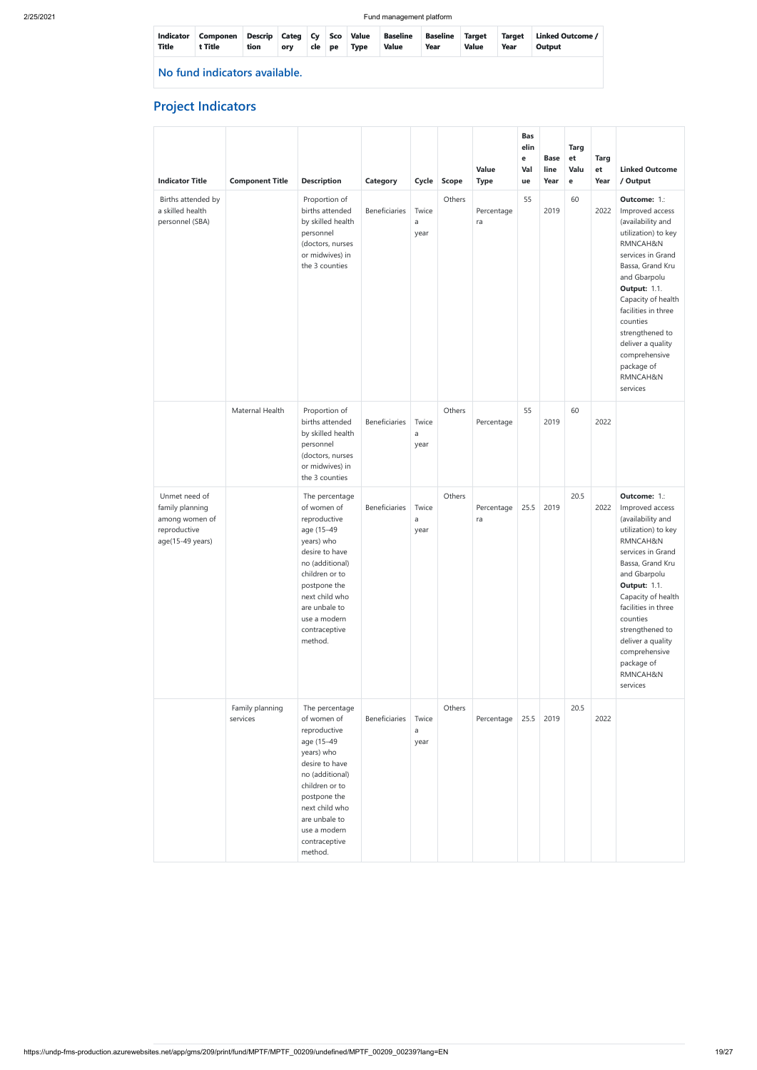| <b>Title</b>                  | Indicator Componen<br>t Title | Descrip Categ Cy Sco Value<br>tion | orv | cle | <b>pe</b> | <b>Type</b> | <b>Baseline</b><br><b>Value</b> | <b>Baseline</b><br>Year | Target<br><b>Value</b> | Target<br>Year | Linked Outcome /<br>Output |
|-------------------------------|-------------------------------|------------------------------------|-----|-----|-----------|-------------|---------------------------------|-------------------------|------------------------|----------------|----------------------------|
| No fund indicators available. |                               |                                    |     |     |           |             |                                 |                         |                        |                |                            |

# **Project Indicators**

| <b>Indicator Title</b>                                                                 | <b>Component Title</b>      | <b>Description</b>                                                                                                                                                                                                              | Category             | Cycle              | <b>Scope</b> | Value<br><b>Type</b> | <b>Bas</b><br>elin<br>e<br>Val<br>ue | <b>Base</b><br>line<br>Year | <b>Targ</b><br>et<br>Valu<br>e | <b>Targ</b><br>et<br>Year | <b>Linked Outcome</b><br>/ Output                                                                                                                                                                                                                                                                                               |
|----------------------------------------------------------------------------------------|-----------------------------|---------------------------------------------------------------------------------------------------------------------------------------------------------------------------------------------------------------------------------|----------------------|--------------------|--------------|----------------------|--------------------------------------|-----------------------------|--------------------------------|---------------------------|---------------------------------------------------------------------------------------------------------------------------------------------------------------------------------------------------------------------------------------------------------------------------------------------------------------------------------|
| Births attended by<br>a skilled health<br>personnel (SBA)                              |                             | Proportion of<br>births attended<br>by skilled health<br>personnel<br>(doctors, nurses<br>or midwives) in<br>the 3 counties                                                                                                     | <b>Beneficiaries</b> | Twice<br>a<br>year | Others       | Percentage<br>ra     | 55                                   | 2019                        | 60                             | 2022                      | Outcome: 1.:<br>Improved access<br>(availability and<br>utilization) to key<br>RMNCAH&N<br>services in Grand<br>Bassa, Grand Kru<br>and Gbarpolu<br><b>Output: 1.1.</b><br>Capacity of health<br>facilities in three<br>counties<br>strengthened to<br>deliver a quality<br>comprehensive<br>package of<br>RMNCAH&N<br>services |
|                                                                                        | Maternal Health             | Proportion of<br>births attended<br>by skilled health<br>personnel<br>(doctors, nurses<br>or midwives) in<br>the 3 counties                                                                                                     | <b>Beneficiaries</b> | Twice<br>a<br>year | Others       | Percentage           | 55                                   | 2019                        | 60                             | 2022                      |                                                                                                                                                                                                                                                                                                                                 |
| Unmet need of<br>family planning<br>among women of<br>reproductive<br>age(15-49 years) |                             | The percentage<br>of women of<br>reproductive<br>age (15-49<br>years) who<br>desire to have<br>no (additional)<br>children or to<br>postpone the<br>next child who<br>are unbale to<br>use a modern<br>contraceptive<br>method. | <b>Beneficiaries</b> | Twice<br>a<br>year | Others       | Percentage<br>ra     | 25.5                                 | 2019                        | 20.5                           | 2022                      | Outcome: 1.:<br>Improved access<br>(availability and<br>utilization) to key<br>RMNCAH&N<br>services in Grand<br>Bassa, Grand Kru<br>and Gbarpolu<br><b>Output: 1.1.</b><br>Capacity of health<br>facilities in three<br>counties<br>strengthened to<br>deliver a quality<br>comprehensive<br>package of<br>RMNCAH&N<br>services |
|                                                                                        | Family planning<br>services | The percentage<br>of women of<br>reproductive<br>age (15-49<br>years) who<br>desire to have<br>no (additional)<br>children or to<br>postpone the                                                                                | Beneficiaries        | Twice<br>a<br>year | Others       | Percentage           | 25.5                                 | 2019                        | 20.5                           | 2022                      |                                                                                                                                                                                                                                                                                                                                 |

|  | next child who |  |  |  |  |  |
|--|----------------|--|--|--|--|--|
|  | are unbale to  |  |  |  |  |  |
|  | use a modern   |  |  |  |  |  |
|  | contraceptive  |  |  |  |  |  |
|  | method.        |  |  |  |  |  |
|  |                |  |  |  |  |  |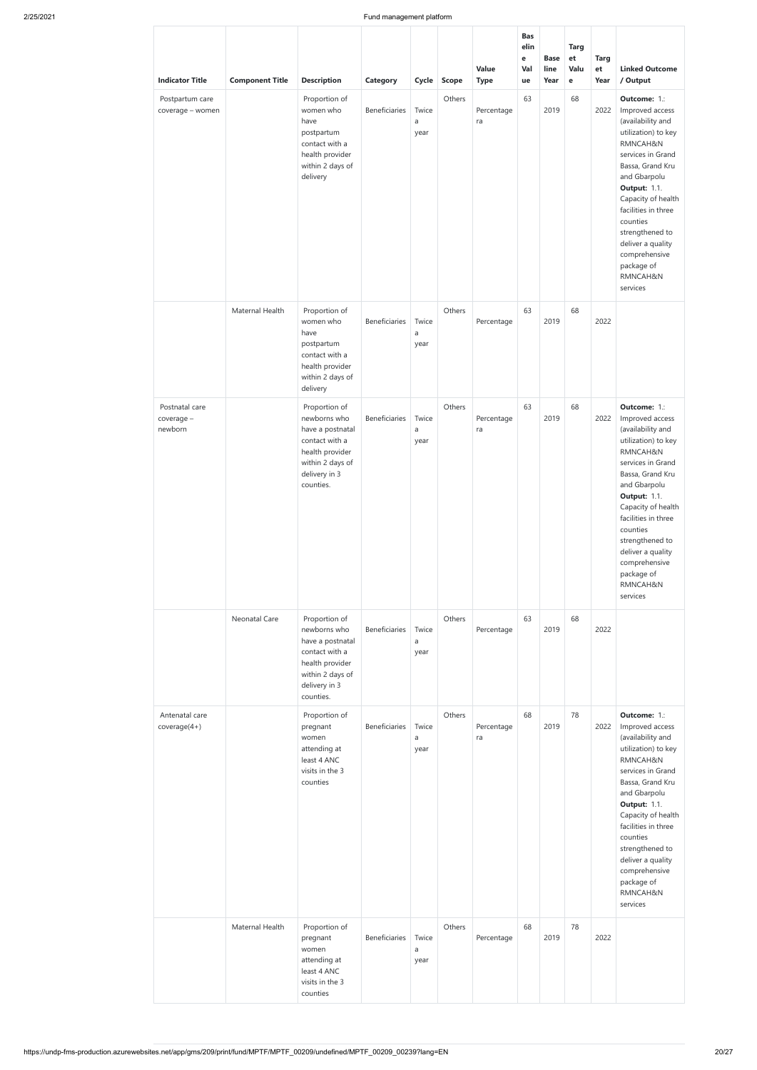| <b>Indicator Title</b>                  | <b>Component Title</b> | <b>Description</b>                                                                                                                       | <b>Category</b>      | Cycle              | <b>Scope</b> | Value<br><b>Type</b> | <b>Bas</b><br>elin<br>e<br>Val<br>ue | <b>Base</b><br>line<br>Year | <b>Targ</b><br>et<br>Valu<br>$\mathbf e$ | <b>Targ</b><br>et<br>Year | <b>Linked Outcome</b><br>/ Output                                                                                                                                                                                                                                                                                               |
|-----------------------------------------|------------------------|------------------------------------------------------------------------------------------------------------------------------------------|----------------------|--------------------|--------------|----------------------|--------------------------------------|-----------------------------|------------------------------------------|---------------------------|---------------------------------------------------------------------------------------------------------------------------------------------------------------------------------------------------------------------------------------------------------------------------------------------------------------------------------|
| Postpartum care<br>coverage - women     |                        | Proportion of<br>women who<br>have<br>postpartum<br>contact with a<br>health provider<br>within 2 days of<br>delivery                    | Beneficiaries        | Twice<br>a<br>year | Others       | Percentage<br>ra     | 63                                   | 2019                        | 68                                       | 2022                      | Outcome: 1.:<br>Improved access<br>(availability and<br>utilization) to key<br>RMNCAH&N<br>services in Grand<br>Bassa, Grand Kru<br>and Gbarpolu<br><b>Output: 1.1.</b><br>Capacity of health<br>facilities in three<br>counties<br>strengthened to<br>deliver a quality<br>comprehensive<br>package of<br>RMNCAH&N<br>services |
|                                         | Maternal Health        | Proportion of<br>women who<br>have<br>postpartum<br>contact with a<br>health provider<br>within 2 days of<br>delivery                    | <b>Beneficiaries</b> | Twice<br>a<br>year | Others       | Percentage           | 63                                   | 2019                        | 68                                       | 2022                      |                                                                                                                                                                                                                                                                                                                                 |
| Postnatal care<br>coverage -<br>newborn |                        | Proportion of<br>newborns who<br>have a postnatal<br>contact with a<br>health provider<br>within 2 days of<br>delivery in 3<br>counties. | <b>Beneficiaries</b> | Twice<br>a<br>year | Others       | Percentage<br>ra     | 63                                   | 2019                        | 68                                       | 2022                      | Outcome: 1.:<br>Improved access<br>(availability and<br>utilization) to key<br>RMNCAH&N<br>services in Grand<br>Bassa, Grand Kru<br>and Gbarpolu<br><b>Output: 1.1.</b><br>Capacity of health<br>facilities in three<br>counties<br>strengthened to<br>deliver a quality<br>comprehensive<br>package of<br>RMNCAH&N<br>services |
|                                         | Neonatal Care          | Proportion of<br>newborns who<br>have a postnatal<br>contact with a<br>health provider<br>within 2 days of<br>delivery in 3<br>counties. | Beneficiaries        | Twice<br>a<br>year | Others       | Percentage           | 63                                   | 2019                        | 68                                       | 2022                      |                                                                                                                                                                                                                                                                                                                                 |
| Antenatal care<br>$coverage(4+)$        |                        | Proportion of<br>pregnant<br>women<br>attending at<br>least 4 ANC<br>visits in the 3<br>counties                                         | Beneficiaries        | Twice<br>a<br>year | Others       | Percentage<br>ra     | 68                                   | 2019                        | 78                                       | 2022                      | Outcome: 1.:<br>Improved access<br>(availability and<br>utilization) to key<br>RMNCAH&N<br>services in Grand<br>Bassa, Grand Kru<br>and Gbarpolu<br><b>Output: 1.1.</b><br>Capacity of health<br>facilities in three<br>counties<br>strengthened to<br>deliver a quality<br>comprehensive<br>package of<br>RMNCAH&N<br>services |
|                                         | Maternal Health        | Proportion of<br>pregnant<br>women<br>attending at<br>least 4 ANC<br>visits in the 3<br>counties                                         | Beneficiaries        | Twice<br>a<br>year | Others       | Percentage           | 68                                   | 2019                        | 78                                       | 2022                      |                                                                                                                                                                                                                                                                                                                                 |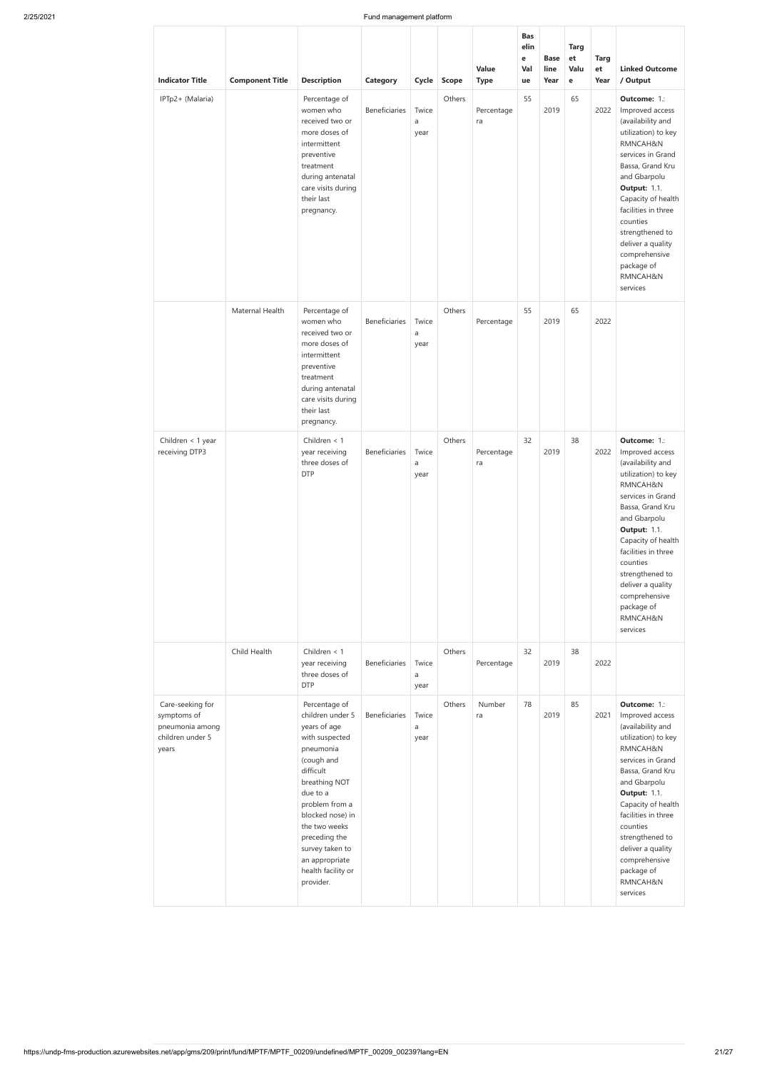| <b>Indicator Title</b>                                                          | <b>Component Title</b> | <b>Description</b>                                                                                                                                                              | <b>Category</b>      | Cycle              | <b>Scope</b> | Value<br><b>Type</b> | <b>Bas</b><br>elin<br>e<br>Val<br>ue | <b>Base</b><br>line<br>Year | <b>Targ</b><br>et<br>Valu<br>$\mathbf e$ | <b>Targ</b><br>et<br>Year | <b>Linked Outcome</b><br>/ Output                                                                                                                                                                                                                                                                                               |
|---------------------------------------------------------------------------------|------------------------|---------------------------------------------------------------------------------------------------------------------------------------------------------------------------------|----------------------|--------------------|--------------|----------------------|--------------------------------------|-----------------------------|------------------------------------------|---------------------------|---------------------------------------------------------------------------------------------------------------------------------------------------------------------------------------------------------------------------------------------------------------------------------------------------------------------------------|
| IPTp2+ (Malaria)                                                                |                        | Percentage of<br>women who<br>received two or<br>more doses of<br>intermittent<br>preventive<br>treatment<br>during antenatal<br>care visits during<br>their last<br>pregnancy. | Beneficiaries        | Twice<br>a<br>year | Others       | Percentage<br>ra     | 55                                   | 2019                        | 65                                       | 2022                      | Outcome: 1.:<br>Improved access<br>(availability and<br>utilization) to key<br>RMNCAH&N<br>services in Grand<br>Bassa, Grand Kru<br>and Gbarpolu<br><b>Output: 1.1.</b><br>Capacity of health<br>facilities in three<br>counties<br>strengthened to<br>deliver a quality<br>comprehensive<br>package of<br>RMNCAH&N<br>services |
|                                                                                 | Maternal Health        | Percentage of<br>women who<br>received two or<br>more doses of<br>intermittent<br>preventive<br>treatment<br>during antenatal<br>care visits during<br>their last<br>pregnancy. | Beneficiaries        | Twice<br>a<br>year | Others       | Percentage           | 55                                   | 2019                        | 65                                       | 2022                      |                                                                                                                                                                                                                                                                                                                                 |
| Children < 1 year<br>receiving DTP3                                             |                        | Children $<$ 1<br>year receiving<br>three doses of<br><b>DTP</b>                                                                                                                | Beneficiaries        | Twice<br>a<br>year | Others       | Percentage<br>ra     | 32                                   | 2019                        | 38                                       | 2022                      | Outcome: 1.:<br>Improved access<br>(availability and<br>utilization) to key<br>RMNCAH&N<br>services in Grand<br>Bassa, Grand Kru<br>and Gbarpolu<br><b>Output: 1.1.</b><br>Capacity of health<br>facilities in three<br>counties<br>strengthened to<br>deliver a quality<br>comprehensive<br>package of<br>RMNCAH&N<br>services |
|                                                                                 | Child Health           | Children $<$ 1<br>year receiving<br>three doses of<br><b>DTP</b>                                                                                                                | Beneficiaries        | Twice<br>a<br>year | Others       | Percentage           | 32                                   | 2019                        | 38                                       | 2022                      |                                                                                                                                                                                                                                                                                                                                 |
| Care-seeking for<br>symptoms of<br>pneumonia among<br>children under 5<br>years |                        | Percentage of<br>children under 5<br>years of age<br>with suspected<br>pneumonia<br>(cough and<br>difficult<br>breathing NOT<br>due to a<br>problem from a                      | <b>Beneficiaries</b> | Twice<br>a<br>year | Others       | Number<br>ra         | 78                                   | 2019                        | 85                                       | 2021                      | Outcome: 1.:<br>Improved access<br>(availability and<br>utilization) to key<br>RMNCAH&N<br>services in Grand<br>Bassa, Grand Kru<br>and Gbarpolu<br><b>Output: 1.1.</b><br>Capacity of health                                                                                                                                   |

| blocked nose) in   |  |  |  | facilities in three |
|--------------------|--|--|--|---------------------|
| the two weeks      |  |  |  | counties            |
| preceding the      |  |  |  | strengthened to     |
| survey taken to    |  |  |  | deliver a quality   |
| an appropriate     |  |  |  | comprehensive       |
| health facility or |  |  |  | package of          |
| provider.          |  |  |  | RMNCAH&N            |
|                    |  |  |  | services            |
|                    |  |  |  |                     |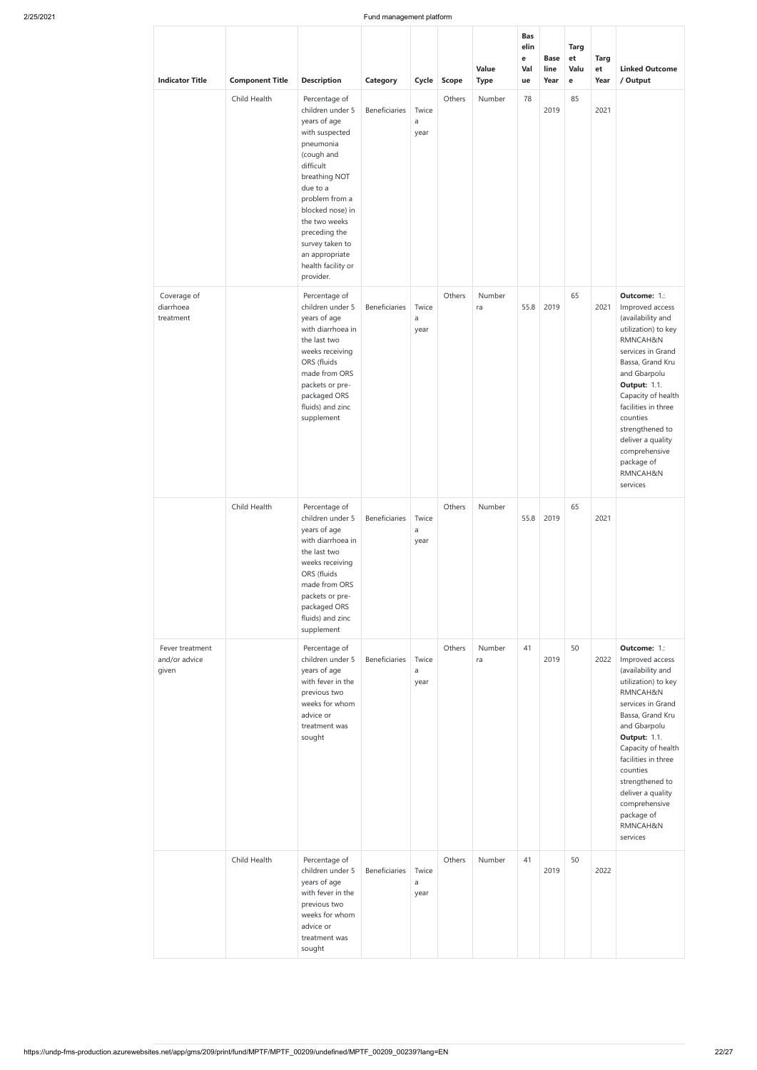| <b>Indicator Title</b>                    | <b>Component Title</b> | <b>Description</b>                                                                                                                                                                                                                                                                       | <b>Category</b> | Cycle              | <b>Scope</b> | Value<br><b>Type</b> | <b>Bas</b><br>elin<br>e<br>Val<br>ue | <b>Base</b><br>line<br>Year | <b>Targ</b><br>et<br>Valu<br>e | <b>Targ</b><br>et<br>Year | <b>Linked Outcome</b><br>/ Output                                                                                                                                                                                                                                                                                               |
|-------------------------------------------|------------------------|------------------------------------------------------------------------------------------------------------------------------------------------------------------------------------------------------------------------------------------------------------------------------------------|-----------------|--------------------|--------------|----------------------|--------------------------------------|-----------------------------|--------------------------------|---------------------------|---------------------------------------------------------------------------------------------------------------------------------------------------------------------------------------------------------------------------------------------------------------------------------------------------------------------------------|
|                                           | Child Health           | Percentage of<br>children under 5<br>years of age<br>with suspected<br>pneumonia<br>(cough and<br>difficult<br>breathing NOT<br>due to a<br>problem from a<br>blocked nose) in<br>the two weeks<br>preceding the<br>survey taken to<br>an appropriate<br>health facility or<br>provider. | Beneficiaries   | Twice<br>a<br>year | Others       | Number               | 78                                   | 2019                        | 85                             | 2021                      |                                                                                                                                                                                                                                                                                                                                 |
| Coverage of<br>diarrhoea<br>treatment     |                        | Percentage of<br>children under 5<br>years of age<br>with diarrhoea in<br>the last two<br>weeks receiving<br>ORS (fluids<br>made from ORS<br>packets or pre-<br>packaged ORS<br>fluids) and zinc<br>supplement                                                                           | Beneficiaries   | Twice<br>a<br>year | Others       | Number<br>ra         | 55.8                                 | 2019                        | 65                             | 2021                      | Outcome: 1.:<br>Improved access<br>(availability and<br>utilization) to key<br>RMNCAH&N<br>services in Grand<br>Bassa, Grand Kru<br>and Gbarpolu<br><b>Output: 1.1.</b><br>Capacity of health<br>facilities in three<br>counties<br>strengthened to<br>deliver a quality<br>comprehensive<br>package of<br>RMNCAH&N<br>services |
|                                           | Child Health           | Percentage of<br>children under 5<br>years of age<br>with diarrhoea in<br>the last two<br>weeks receiving<br>ORS (fluids<br>made from ORS<br>packets or pre-<br>packaged ORS<br>fluids) and zinc<br>supplement                                                                           | Beneficiaries   | Twice<br>a<br>year | Others       | Number               | 55.8                                 | 2019                        | 65                             | 2021                      |                                                                                                                                                                                                                                                                                                                                 |
| Fever treatment<br>and/or advice<br>given |                        | Percentage of<br>children under 5<br>years of age<br>with fever in the<br>previous two<br>weeks for whom<br>advice or<br>treatment was<br>sought                                                                                                                                         | Beneficiaries   | Twice<br>a<br>year | Others       | Number<br>ra         | 41                                   | 2019                        | 50                             | 2022                      | Outcome: 1.:<br>Improved access<br>(availability and<br>utilization) to key<br>RMNCAH&N<br>services in Grand<br>Bassa, Grand Kru<br>and Gbarpolu<br><b>Output: 1.1.</b><br>Capacity of health<br>facilities in three<br>counties<br>strengthened to<br>deliver a quality<br>comprehensive<br>package of<br>RMNCAH&N<br>services |
|                                           | Child Health           | Percentage of<br>children under 5<br>years of age<br>with fever in the<br>previous two<br>weeks for whom<br>advice or<br>treatment was<br>sought                                                                                                                                         | Beneficiaries   | Twice<br>a<br>year | Others       | Number               | 41                                   | 2019                        | 50                             | 2022                      |                                                                                                                                                                                                                                                                                                                                 |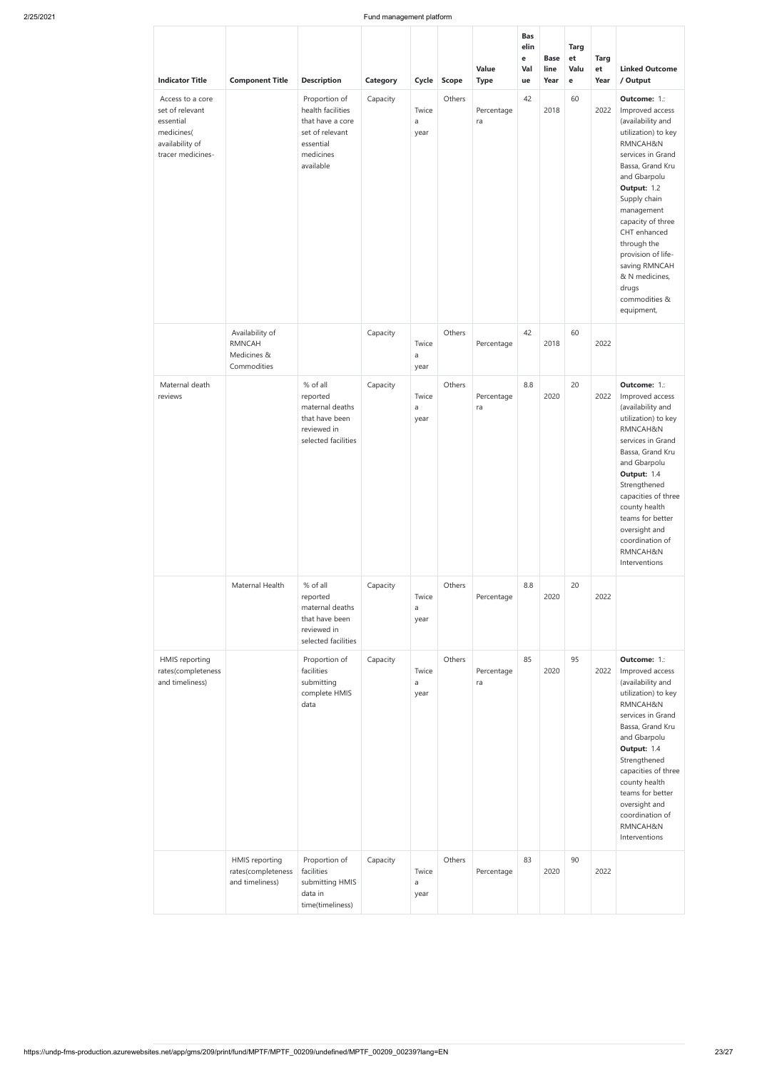| <b>Indicator Title</b>                                                                                 | <b>Component Title</b>                                         | <b>Description</b>                                                                                               | Category             | <b>Cycle</b>       | <b>Scope</b>     | Value<br><b>Type</b> | <b>Bas</b><br>elin<br>e<br>Val<br>ue | <b>Base</b><br>line<br>Year | <b>Targ</b><br>et<br>Valu<br>$\mathbf e$ | <b>Targ</b><br>et<br>Year | <b>Linked Outcome</b><br>/ Output                                                                                                                                                                                                                                                                                                                  |
|--------------------------------------------------------------------------------------------------------|----------------------------------------------------------------|------------------------------------------------------------------------------------------------------------------|----------------------|--------------------|------------------|----------------------|--------------------------------------|-----------------------------|------------------------------------------|---------------------------|----------------------------------------------------------------------------------------------------------------------------------------------------------------------------------------------------------------------------------------------------------------------------------------------------------------------------------------------------|
| Access to a core<br>set of relevant<br>essential<br>medicines(<br>availability of<br>tracer medicines- |                                                                | Proportion of<br>health facilities<br>that have a core<br>set of relevant<br>essential<br>medicines<br>available | Capacity             | Twice<br>a<br>year | Others           | Percentage<br>ra     | 42                                   | 2018                        | 60                                       | 2022                      | Outcome: 1.:<br>Improved access<br>(availability and<br>utilization) to key<br>RMNCAH&N<br>services in Grand<br>Bassa, Grand Kru<br>and Gbarpolu<br>Output: 1.2<br>Supply chain<br>management<br>capacity of three<br>CHT enhanced<br>through the<br>provision of life-<br>saving RMNCAH<br>& N medicines,<br>drugs<br>commodities &<br>equipment, |
|                                                                                                        | Availability of<br><b>RMNCAH</b><br>Medicines &<br>Commodities |                                                                                                                  | Capacity             | Twice<br>a<br>year | Others           | Percentage           | 42                                   | 2018                        | 60                                       | 2022                      |                                                                                                                                                                                                                                                                                                                                                    |
| Maternal death<br>reviews                                                                              |                                                                | % of all<br>reported<br>maternal deaths<br>that have been<br>reviewed in<br>selected facilities                  | Capacity             | Twice<br>a<br>year | Others           | Percentage<br>ra     | 8.8                                  | 2020                        | 20                                       | 2022                      | Outcome: 1.:<br>Improved access<br>(availability and<br>utilization) to key<br>RMNCAH&N<br>services in Grand<br>Bassa, Grand Kru<br>and Gbarpolu<br>Output: 1.4<br>Strengthened<br>capacities of three<br>county health<br>teams for better<br>oversight and<br>coordination of<br>RMNCAH&N<br>Interventions                                       |
|                                                                                                        | Maternal Health                                                | % of all<br>reported<br>maternal deaths<br>that have been<br>reviewed in<br>selected facilities                  | Capacity             | Twice<br>a<br>year | Others           | Percentage           | 8.8                                  | 2020                        | 20                                       | 2022                      |                                                                                                                                                                                                                                                                                                                                                    |
| <b>HMIS</b> reporting<br>rates(completeness<br>and timeliness)                                         | HMIS reporting                                                 | Proportion of<br>facilities<br>submitting<br>complete HMIS<br>data<br>Proportion of                              | Capacity<br>Capacity | Twice<br>a<br>year | Others<br>Others | Percentage<br>ra     | 85<br>83                             | 2020                        | 95<br>90                                 | 2022                      | Outcome: 1.:<br>Improved access<br>(availability and<br>utilization) to key<br>RMNCAH&N<br>services in Grand<br>Bassa, Grand Kru<br>and Gbarpolu<br>Output: 1.4<br>Strengthened<br>capacities of three<br>county health<br>teams for better<br>oversight and<br>coordination of<br>RMNCAH&N<br>Interventions                                       |
|                                                                                                        | rates(completeness<br>and timeliness)                          | facilities<br>submitting HMIS<br>data in<br>time(timeliness)                                                     |                      | Twice<br>a<br>year |                  | Percentage           |                                      | 2020                        |                                          | 2022                      |                                                                                                                                                                                                                                                                                                                                                    |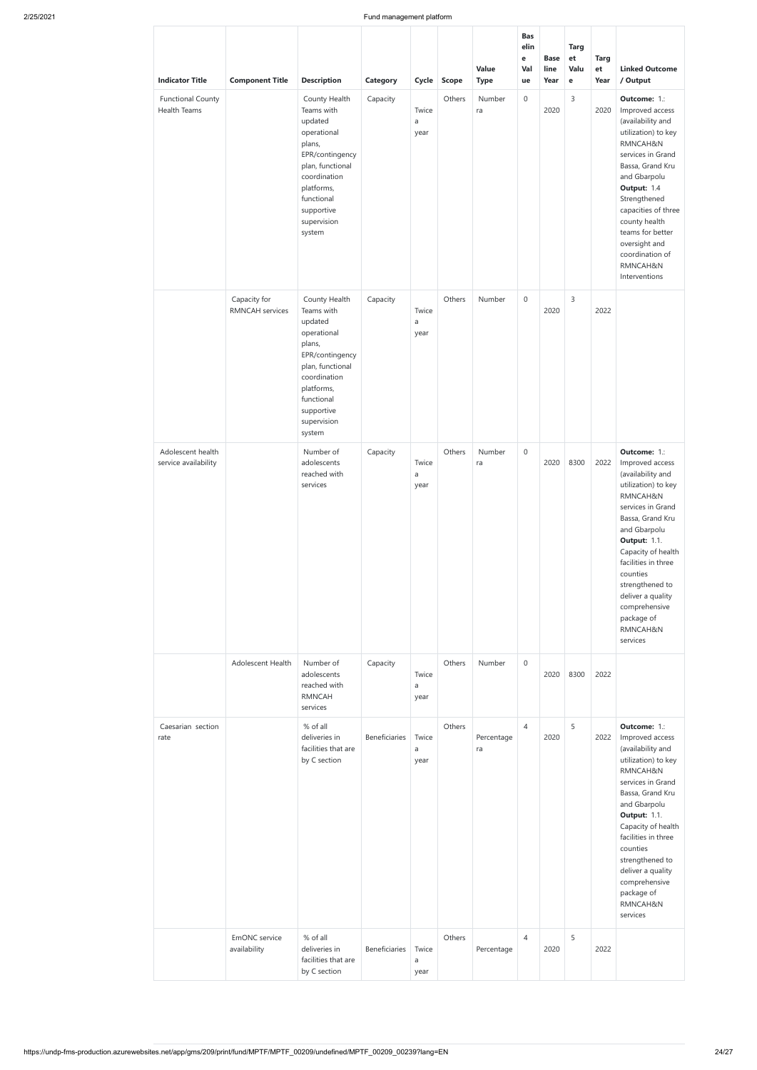|                                                                    |                                        |                                                                                                                                                                                                                                                   |                      |                                          |                        | Value                       | <b>Bas</b><br>elin<br>e<br>Val | <b>Base</b><br>line | <b>Targ</b><br>et<br>Valu | <b>Targ</b><br>et | <b>Linked Outcome</b>                                                                                                                                                                                                                                                                                                           |
|--------------------------------------------------------------------|----------------------------------------|---------------------------------------------------------------------------------------------------------------------------------------------------------------------------------------------------------------------------------------------------|----------------------|------------------------------------------|------------------------|-----------------------------|--------------------------------|---------------------|---------------------------|-------------------|---------------------------------------------------------------------------------------------------------------------------------------------------------------------------------------------------------------------------------------------------------------------------------------------------------------------------------|
| <b>Indicator Title</b><br><b>Functional County</b><br>Health Teams | <b>Component Title</b>                 | <b>Description</b><br>County Health<br>Teams with<br>updated<br>operational<br>plans,<br>EPR/contingency<br>plan, functional<br>coordination<br>platforms,<br>functional<br>supportive<br>supervision<br>system                                   | Category<br>Capacity | <b>Cycle</b><br>Twice<br>a<br>year       | <b>Scope</b><br>Others | <b>Type</b><br>Number<br>ra | ue<br>0                        | Year<br>2020        | e<br>$\mathsf 3$          | Year<br>2020      | / Output<br>Outcome: 1.:<br>Improved access<br>(availability and<br>utilization) to key<br>RMNCAH&N<br>services in Grand<br>Bassa, Grand Kru<br>and Gbarpolu<br>Output: 1.4<br>Strengthened<br>capacities of three<br>county health<br>teams for better<br>oversight and<br>coordination of<br>RMNCAH&N<br>Interventions        |
| Adolescent health<br>service availability                          | Capacity for<br><b>RMNCAH</b> services | County Health<br>Teams with<br>updated<br>operational<br>plans,<br>EPR/contingency<br>plan, functional<br>coordination<br>platforms,<br>functional<br>supportive<br>supervision<br>system<br>Number of<br>adolescents<br>reached with<br>services | Capacity<br>Capacity | Twice<br>a<br>year<br>Twice<br>a<br>year | Others<br>Others       | Number<br>Number<br>ra      | 0<br>0                         | 2020<br>2020        | $\overline{3}$<br>8300    | 2022<br>2022      | Outcome: 1.:<br>Improved access<br>(availability and<br>utilization) to key<br>RMNCAH&N<br>services in Grand<br>Bassa, Grand Kru<br>and Gbarpolu<br><b>Output: 1.1.</b><br>Capacity of health<br>facilities in three<br>counties<br>strengthened to<br>deliver a quality<br>comprehensive<br>package of<br>RMNCAH&N<br>services |
|                                                                    | Adolescent Health                      | Number of<br>adolescents<br>reached with<br><b>RMNCAH</b><br>services                                                                                                                                                                             | Capacity             | Twice<br>a<br>year                       | Others                 | Number                      | 0                              | 2020                | 8300                      | 2022              |                                                                                                                                                                                                                                                                                                                                 |
| Caesarian section<br>rate                                          |                                        | % of all<br>deliveries in<br>facilities that are<br>by C section                                                                                                                                                                                  | Beneficiaries        | Twice<br>a<br>year                       | Others                 | Percentage<br>ra            | $\overline{4}$                 | 2020                | 5                         | 2022              | Outcome: 1.:<br>Improved access<br>(availability and<br>utilization) to key<br>RMNCAH&N<br>services in Grand<br>Bassa, Grand Kru<br>and Gbarpolu<br><b>Output: 1.1.</b><br>Capacity of health<br>facilities in three<br>counties<br>strengthened to<br>deliver a quality<br>comprehensive<br>package of<br>RMNCAH&N<br>services |
|                                                                    | EmONC service<br>availability          | % of all<br>deliveries in<br>facilities that are<br>by C section                                                                                                                                                                                  | Beneficiaries        | Twice<br>a<br>year                       | Others                 | Percentage                  | $\overline{4}$                 | 2020                | 5                         | 2022              |                                                                                                                                                                                                                                                                                                                                 |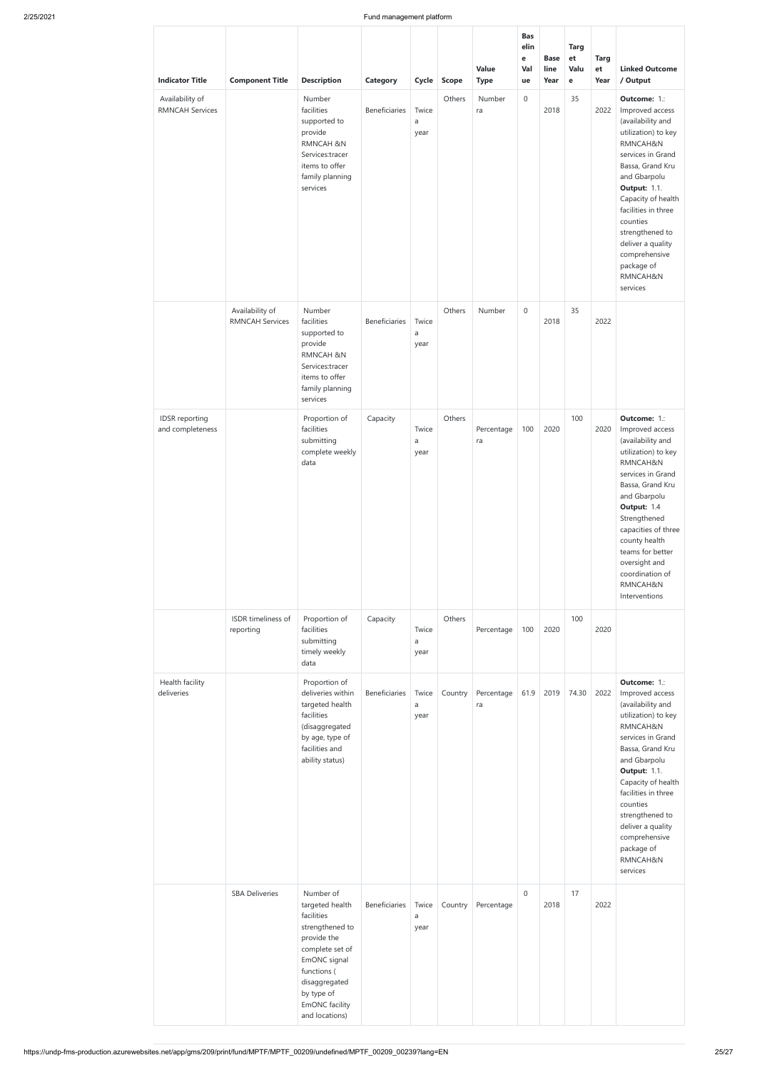| <b>Indicator Title</b>                    | <b>Component Title</b>                    | <b>Description</b>                                                                                                                                                                                | Category      | Cycle              | <b>Scope</b> | Value<br><b>Type</b> | <b>Bas</b><br>elin<br>e<br>Val<br>ue | <b>Base</b><br>line<br>Year | <b>Targ</b><br>et<br>Valu<br>$\mathbf e$ | <b>Targ</b><br>et<br>Year | <b>Linked Outcome</b><br>/ Output                                                                                                                                                                                                                                                                                               |
|-------------------------------------------|-------------------------------------------|---------------------------------------------------------------------------------------------------------------------------------------------------------------------------------------------------|---------------|--------------------|--------------|----------------------|--------------------------------------|-----------------------------|------------------------------------------|---------------------------|---------------------------------------------------------------------------------------------------------------------------------------------------------------------------------------------------------------------------------------------------------------------------------------------------------------------------------|
| Availability of<br><b>RMNCAH Services</b> |                                           | Number<br>facilities<br>supported to<br>provide<br><b>RMNCAH &amp;N</b><br>Services:tracer<br>items to offer<br>family planning<br>services                                                       | Beneficiaries | Twice<br>a<br>year | Others       | Number<br>ra         | $\boldsymbol{0}$                     | 2018                        | 35                                       | 2022                      | Outcome: 1.:<br>Improved access<br>(availability and<br>utilization) to key<br>RMNCAH&N<br>services in Grand<br>Bassa, Grand Kru<br>and Gbarpolu<br><b>Output: 1.1.</b><br>Capacity of health<br>facilities in three<br>counties<br>strengthened to<br>deliver a quality<br>comprehensive<br>package of<br>RMNCAH&N<br>services |
|                                           | Availability of<br><b>RMNCAH Services</b> | Number<br>facilities<br>supported to<br>provide<br><b>RMNCAH &amp;N</b><br>Services:tracer<br>items to offer<br>family planning<br>services                                                       | Beneficiaries | Twice<br>a<br>year | Others       | Number               | $\boldsymbol{0}$                     | 2018                        | 35                                       | 2022                      |                                                                                                                                                                                                                                                                                                                                 |
| <b>IDSR</b> reporting<br>and completeness |                                           | Proportion of<br>facilities<br>submitting<br>complete weekly<br>data                                                                                                                              | Capacity      | Twice<br>a<br>year | Others       | Percentage<br>ra     | 100                                  | 2020                        | 100                                      | 2020                      | Outcome: 1.:<br>Improved access<br>(availability and<br>utilization) to key<br>RMNCAH&N<br>services in Grand<br>Bassa, Grand Kru<br>and Gbarpolu<br>Output: 1.4<br>Strengthened<br>capacities of three<br>county health<br>teams for better<br>oversight and<br>coordination of<br>RMNCAH&N<br>Interventions                    |
|                                           | ISDR timeliness of<br>reporting           | Proportion of<br>facilities<br>submitting<br>timely weekly<br>data                                                                                                                                | Capacity      | Twice<br>a<br>year | Others       | Percentage           | 100                                  | 2020                        | 100                                      | 2020                      |                                                                                                                                                                                                                                                                                                                                 |
| Health facility<br>deliveries             |                                           | Proportion of<br>deliveries within<br>targeted health<br>facilities<br>(disaggregated<br>by age, type of<br>facilities and<br>ability status)                                                     | Beneficiaries | Twice<br>a<br>year | Country      | Percentage<br>ra     | 61.9                                 | 2019                        | 74.30                                    | 2022                      | Outcome: 1.:<br>Improved access<br>(availability and<br>utilization) to key<br>RMNCAH&N<br>services in Grand<br>Bassa, Grand Kru<br>and Gbarpolu<br><b>Output: 1.1.</b><br>Capacity of health<br>facilities in three<br>counties<br>strengthened to<br>deliver a quality<br>comprehensive<br>package of<br>RMNCAH&N<br>services |
|                                           | <b>SBA Deliveries</b>                     | Number of<br>targeted health<br>facilities<br>strengthened to<br>provide the<br>complete set of<br>EmONC signal<br>functions (<br>disaggregated<br>by type of<br>EmONC facility<br>and locations) | Beneficiaries | Twice<br>a<br>year | Country      | Percentage           | $\mathbf 0$                          | 2018                        | 17                                       | 2022                      |                                                                                                                                                                                                                                                                                                                                 |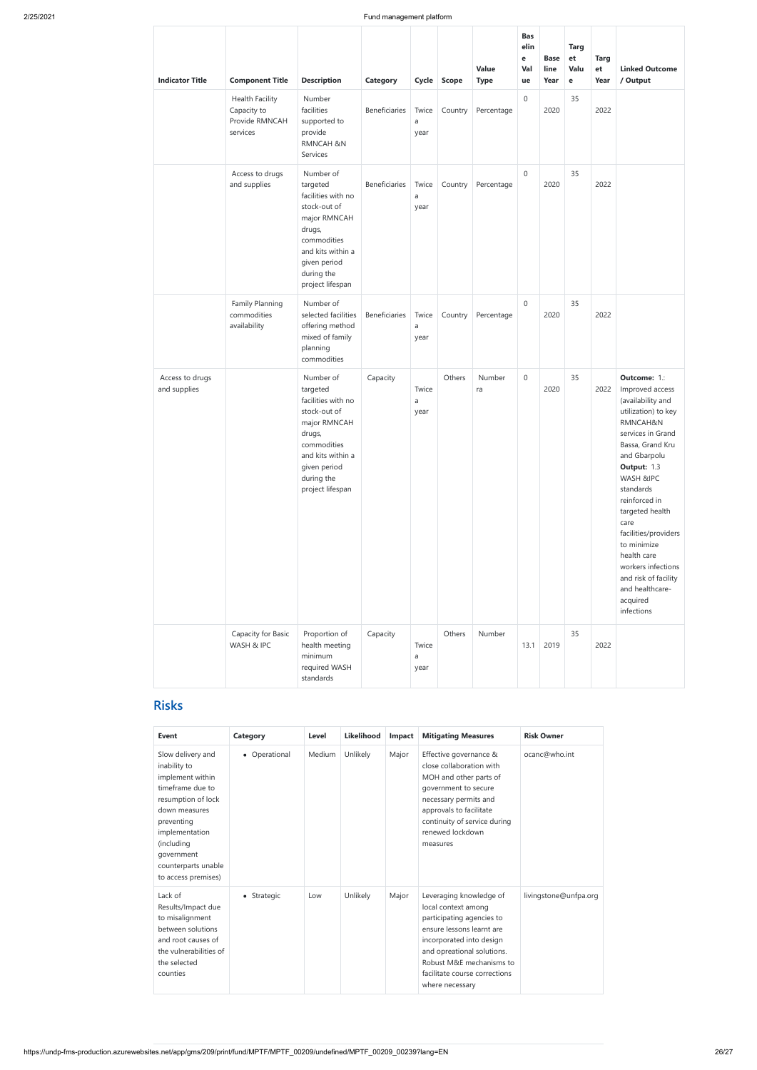| <b>Indicator Title</b>          | <b>Component Title</b>                                              | <b>Description</b>                                                                                                                                                          | Category      | Cycle              | <b>Scope</b> | Value<br><b>Type</b> | <b>Bas</b><br>elin<br>e<br>Val<br>ue | <b>Base</b><br>line<br>Year | <b>Targ</b><br>et<br>Valu<br>e | <b>Targ</b><br>et<br>Year | <b>Linked Outcome</b><br>/ Output                                                                                                                                                                                                                                                                                                                                                      |
|---------------------------------|---------------------------------------------------------------------|-----------------------------------------------------------------------------------------------------------------------------------------------------------------------------|---------------|--------------------|--------------|----------------------|--------------------------------------|-----------------------------|--------------------------------|---------------------------|----------------------------------------------------------------------------------------------------------------------------------------------------------------------------------------------------------------------------------------------------------------------------------------------------------------------------------------------------------------------------------------|
|                                 | <b>Health Facility</b><br>Capacity to<br>Provide RMNCAH<br>services | Number<br>facilities<br>supported to<br>provide<br><b>RMNCAH &amp;N</b><br>Services                                                                                         | Beneficiaries | Twice<br>a<br>year | Country      | Percentage           | $\mathbf 0$                          | 2020                        | 35                             | 2022                      |                                                                                                                                                                                                                                                                                                                                                                                        |
|                                 | Access to drugs<br>and supplies                                     | Number of<br>targeted<br>facilities with no<br>stock-out of<br>major RMNCAH<br>drugs,<br>commodities<br>and kits within a<br>given period<br>during the<br>project lifespan | Beneficiaries | Twice<br>a<br>year | Country      | Percentage           | $\mathsf{O}\xspace$                  | 2020                        | 35                             | 2022                      |                                                                                                                                                                                                                                                                                                                                                                                        |
|                                 | Family Planning<br>commodities<br>availability                      | Number of<br>selected facilities<br>offering method<br>mixed of family<br>planning<br>commodities                                                                           | Beneficiaries | Twice<br>a<br>year | Country      | Percentage           | $\mathsf{O}\xspace$                  | 2020                        | 35                             | 2022                      |                                                                                                                                                                                                                                                                                                                                                                                        |
| Access to drugs<br>and supplies |                                                                     | Number of<br>targeted<br>facilities with no<br>stock-out of<br>major RMNCAH<br>drugs,<br>commodities<br>and kits within a<br>given period<br>during the<br>project lifespan | Capacity      | Twice<br>a<br>year | Others       | Number<br>ra         | $\mathbf 0$                          | 2020                        | 35                             | 2022                      | Outcome: 1.:<br>Improved access<br>(availability and<br>utilization) to key<br>RMNCAH&N<br>services in Grand<br>Bassa, Grand Kru<br>and Gbarpolu<br>Output: 1.3<br>WASH &IPC<br>standards<br>reinforced in<br>targeted health<br>care<br>facilities/providers<br>to minimize<br>health care<br>workers infections<br>and risk of facility<br>and healthcare-<br>acquired<br>infections |
|                                 | Capacity for Basic<br>WASH & IPC                                    | Proportion of<br>health meeting<br>minimum<br>required WASH<br>standards                                                                                                    | Capacity      | Twice<br>a<br>year | Others       | Number               | 13.1                                 | 2019                        | 35                             | 2022                      |                                                                                                                                                                                                                                                                                                                                                                                        |

# **Risks**

| <b>Event</b>                                                                                                                                                                                                               | Category      | Level         | <b>Likelihood</b> | Impact | <b>Mitigating Measures</b>                                                                                                                                                                                                                         | <b>Risk Owner</b>     |
|----------------------------------------------------------------------------------------------------------------------------------------------------------------------------------------------------------------------------|---------------|---------------|-------------------|--------|----------------------------------------------------------------------------------------------------------------------------------------------------------------------------------------------------------------------------------------------------|-----------------------|
| Slow delivery and<br>inability to<br>implement within<br>timeframe due to<br>resumption of lock<br>down measures<br>preventing<br>implementation<br>(including<br>government<br>counterparts unable<br>to access premises) | • Operational | <b>Medium</b> | Unlikely          | Major  | Effective governance &<br>close collaboration with<br>MOH and other parts of<br>government to secure<br>necessary permits and<br>approvals to facilitate<br>continuity of service during<br>renewed lockdown<br>measures                           | ocanc@who.int         |
| Lack of<br>Results/Impact due<br>to misalignment<br>between solutions<br>and root causes of<br>the vulnerabilities of<br>the selected<br>counties                                                                          | • Strategic   | Low           | Unlikely          | Major  | Leveraging knowledge of<br>local context among<br>participating agencies to<br>ensure lessons learnt are<br>incorporated into design<br>and opreational solutions.<br>Robust M&E mechanisms to<br>facilitate course corrections<br>where necessary | livingstone@unfpa.org |